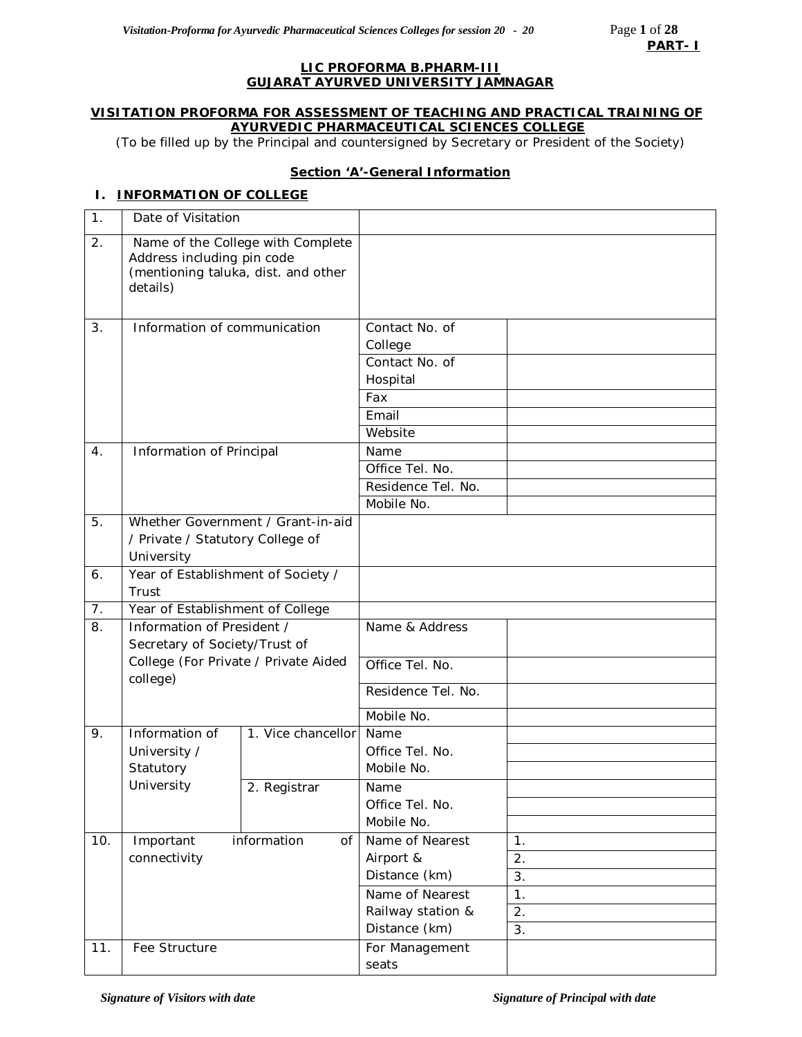#### **LIC PROFORMA B.PHARM-III GUJARAT AYURVED UNIVERSITY JAMNAGAR**

#### **VISITATION PROFORMA FOR ASSESSMENT OF TEACHING AND PRACTICAL TRAINING OF AYURVEDIC PHARMACEUTICAL SCIENCES COLLEGE**

*(*To be filled up by the Principal and countersigned by Secretary or President of the Society)

## **Section 'A'-General Information**

## **I. INFORMATION OF COLLEGE**

| $\mathbf 1$ . | Date of Visitation                     |                                                                          |                            |                  |
|---------------|----------------------------------------|--------------------------------------------------------------------------|----------------------------|------------------|
| 2.            | Address including pin code<br>details) | Name of the College with Complete<br>(mentioning taluka, dist. and other |                            |                  |
| 3.            | Information of communication           |                                                                          | Contact No. of<br>College  |                  |
|               |                                        |                                                                          | Contact No. of<br>Hospital |                  |
|               |                                        |                                                                          | Fax                        |                  |
|               |                                        |                                                                          | Email                      |                  |
|               |                                        |                                                                          | Website                    |                  |
| 4.            | Information of Principal               |                                                                          | Name                       |                  |
|               |                                        |                                                                          | Office Tel. No.            |                  |
|               |                                        |                                                                          | Residence Tel. No.         |                  |
|               |                                        |                                                                          | Mobile No.                 |                  |
| 5.            |                                        | Whether Government / Grant-in-aid                                        |                            |                  |
|               | / Private / Statutory College of       |                                                                          |                            |                  |
|               | University                             |                                                                          |                            |                  |
| 6.            | Year of Establishment of Society /     |                                                                          |                            |                  |
|               | Trust                                  |                                                                          |                            |                  |
| 7.            | Year of Establishment of College       |                                                                          |                            |                  |
| 8.            | Information of President /             |                                                                          | Name & Address             |                  |
|               | Secretary of Society/Trust of          |                                                                          |                            |                  |
|               | college)                               | College (For Private / Private Aided                                     | Office Tel. No.            |                  |
|               |                                        |                                                                          | Residence Tel. No.         |                  |
|               |                                        |                                                                          | Mobile No.                 |                  |
| 9.            | Information of                         | 1. Vice chancellor                                                       | Name                       |                  |
|               | University /                           |                                                                          | Office Tel. No.            |                  |
|               | Statutory                              |                                                                          | Mobile No.                 |                  |
|               | University                             | 2. Registrar                                                             | Name                       |                  |
|               |                                        |                                                                          | Office Tel. No.            |                  |
|               |                                        |                                                                          | Mobile No.                 |                  |
| 10.           | Important                              | information<br>of                                                        | Name of Nearest            | 1.               |
|               | connectivity                           |                                                                          | Airport &                  | 2.               |
|               |                                        |                                                                          | Distance (km)              | 3.               |
|               |                                        |                                                                          | Name of Nearest            | 1.               |
|               |                                        |                                                                          | Railway station &          | $\overline{2}$ . |
|               |                                        |                                                                          | Distance (km)              | 3.               |
| 11.           | Fee Structure                          |                                                                          | For Management             |                  |
|               |                                        |                                                                          | seats                      |                  |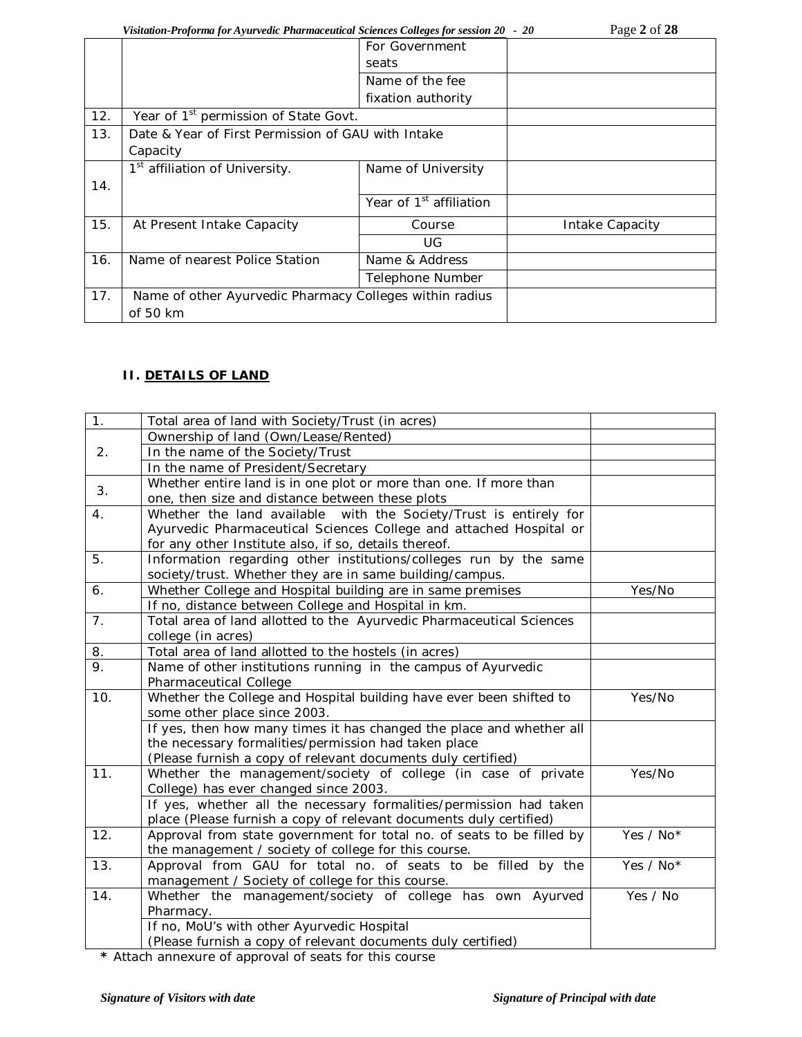*Visitation-Proforma for Ayurvedic Pharmaceutical Sciences Colleges for session 20 - 20* Page 2 of 28

|                                                                |                                     | $1 \mu_{2} = 01 = 0$                                                                                    |
|----------------------------------------------------------------|-------------------------------------|---------------------------------------------------------------------------------------------------------|
|                                                                | For Government                      |                                                                                                         |
|                                                                | seats                               |                                                                                                         |
|                                                                | Name of the fee                     |                                                                                                         |
|                                                                | fixation authority                  |                                                                                                         |
|                                                                |                                     |                                                                                                         |
|                                                                |                                     |                                                                                                         |
| Capacity                                                       |                                     |                                                                                                         |
| 1 <sup>st</sup> affiliation of University.                     | Name of University                  |                                                                                                         |
|                                                                |                                     |                                                                                                         |
|                                                                | Year of 1 <sup>st</sup> affiliation |                                                                                                         |
| At Present Intake Capacity                                     | Course                              | Intake Capacity                                                                                         |
|                                                                | UG.                                 |                                                                                                         |
| Name of nearest Police Station                                 | Name & Address                      |                                                                                                         |
|                                                                | Telephone Number                    |                                                                                                         |
| 17.<br>Name of other Ayurvedic Pharmacy Colleges within radius |                                     |                                                                                                         |
| of 50 km                                                       |                                     |                                                                                                         |
|                                                                |                                     | Year of 1 <sup>st</sup> permission of State Govt.<br>Date & Year of First Permission of GAU with Intake |

# **II. DETAILS OF LAND**

| 1.             | Total area of land with Society/Trust (in acres)                      |           |
|----------------|-----------------------------------------------------------------------|-----------|
|                | Ownership of land (Own/Lease/Rented)                                  |           |
| 2 <sub>1</sub> | In the name of the Society/Trust                                      |           |
|                | In the name of President/Secretary                                    |           |
| 3.             | Whether entire land is in one plot or more than one. If more than     |           |
|                | one, then size and distance between these plots                       |           |
| 4.             | Whether the land available with the Society/Trust is entirely for     |           |
|                | Ayurvedic Pharmaceutical Sciences College and attached Hospital or    |           |
|                | for any other Institute also, if so, details thereof.                 |           |
| 5.             | Information regarding other institutions/colleges run by the same     |           |
|                | society/trust. Whether they are in same building/campus.              |           |
| 6.             | Whether College and Hospital building are in same premises            | Yes/No    |
|                | If no, distance between College and Hospital in km.                   |           |
| 7 <sub>1</sub> | Total area of land allotted to the Ayurvedic Pharmaceutical Sciences  |           |
|                | college (in acres)                                                    |           |
| 8.             | Total area of land allotted to the hostels (in acres)                 |           |
| 9.             | Name of other institutions running in the campus of Ayurvedic         |           |
|                | Pharmaceutical College                                                |           |
| 10.            | Whether the College and Hospital building have ever been shifted to   | Yes/No    |
|                | some other place since 2003.                                          |           |
|                | If yes, then how many times it has changed the place and whether all  |           |
|                | the necessary formalities/permission had taken place                  |           |
|                | (Please furnish a copy of relevant documents duly certified)          |           |
| 11.            | Whether the management/society of college (in case of private         | Yes/No    |
|                | College) has ever changed since 2003.                                 |           |
|                | If yes, whether all the necessary formalities/permission had taken    |           |
|                | place (Please furnish a copy of relevant documents duly certified)    |           |
| 12.            | Approval from state government for total no. of seats to be filled by | Yes / No* |
|                | the management / society of college for this course.                  |           |
| 13.            | Approval from GAU for total no. of seats to be filled by the          | Yes / No* |
|                | management / Society of college for this course.                      |           |
| 14.            | Whether the management/society of college has own Ayurved             | Yes / No  |
|                | Pharmacy.                                                             |           |
|                | If no, MoU's with other Ayurvedic Hospital                            |           |
|                | (Please furnish a copy of relevant documents duly certified)          |           |

**\*** Attach annexure of approval of seats for this course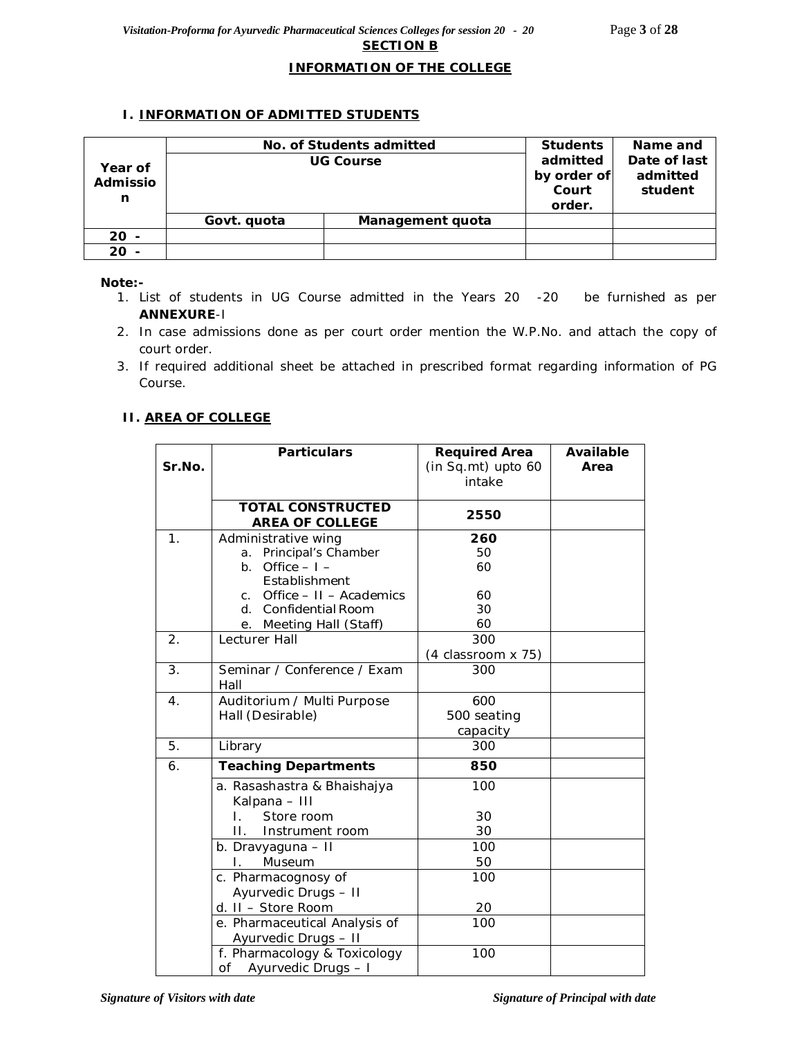### **INFORMATION OF THE COLLEGE**

## **I. INFORMATION OF ADMITTED STUDENTS**

|                          | No. of Students admitted | <b>Students</b>  | Name and |  |
|--------------------------|--------------------------|------------------|----------|--|
| Year of<br>Admissio<br>n |                          | <b>UG Course</b> |          |  |
|                          | Govt. quota              | Management quota |          |  |
| $20 -$                   |                          |                  |          |  |
| $20 -$                   |                          |                  |          |  |

#### *Note:-*

- *1. List of students in UG Course admitted in the Years 20 -20 be furnished as per ANNEXURE-I*
- *2. In case admissions done as per court order mention the W.P.No. and attach the copy of court order.*
- *3. If required additional sheet be attached in prescribed format regarding information of PG Course.*

## **II. AREA OF COLLEGE**

|        | <b>Particulars</b>                        | <b>Required Area</b> | <b>Available</b> |
|--------|-------------------------------------------|----------------------|------------------|
| Sr.No. |                                           | (in Sq.mt) upto 60   | Area             |
|        |                                           | intake               |                  |
|        | <b>TOTAL CONSTRUCTED</b>                  |                      |                  |
|        | <b>AREA OF COLLEGE</b>                    | 2550                 |                  |
| 1.     | Administrative wing                       | 260                  |                  |
|        | Principal's Chamber<br>a.                 | 50                   |                  |
|        | Office $-1$ –<br>b.                       | 60                   |                  |
|        | Establishment                             |                      |                  |
|        | Office - II - Academics<br>$\mathsf{C}$ . | 60                   |                  |
|        | d. Confidential Room                      | 30                   |                  |
|        | e. Meeting Hall (Staff)                   | 60                   |                  |
| 2.     | Lecturer Hall                             | 300                  |                  |
|        |                                           | (4 classroom x 75)   |                  |
| 3.     | Seminar / Conference / Exam<br>Hall       | 300                  |                  |
| 4.     | Auditorium / Multi Purpose                | 600                  |                  |
|        | Hall (Desirable)                          | 500 seating          |                  |
|        |                                           | capacity             |                  |
| 5.     | Library                                   | 300                  |                  |
| 6.     | <b>Teaching Departments</b>               | 850                  |                  |
|        | a. Rasashastra & Bhaishajya               | 100                  |                  |
|        | Kalpana - III                             |                      |                  |
|        | Store room<br>L.                          | 30                   |                  |
|        | $\Pi$ .<br>Instrument room                | 30                   |                  |
|        | b. Dravyaguna - II                        | 100                  |                  |
|        | Museum                                    | 50                   |                  |
|        | c. Pharmacognosy of                       | 100                  |                  |
|        | Ayurvedic Drugs - II                      |                      |                  |
|        | d. II - Store Room                        | 20                   |                  |
|        | e. Pharmaceutical Analysis of             | 100                  |                  |
|        | Ayurvedic Drugs - II                      |                      |                  |
|        | f. Pharmacology & Toxicology              | 100                  |                  |
|        | of<br>Ayurvedic Drugs - I                 |                      |                  |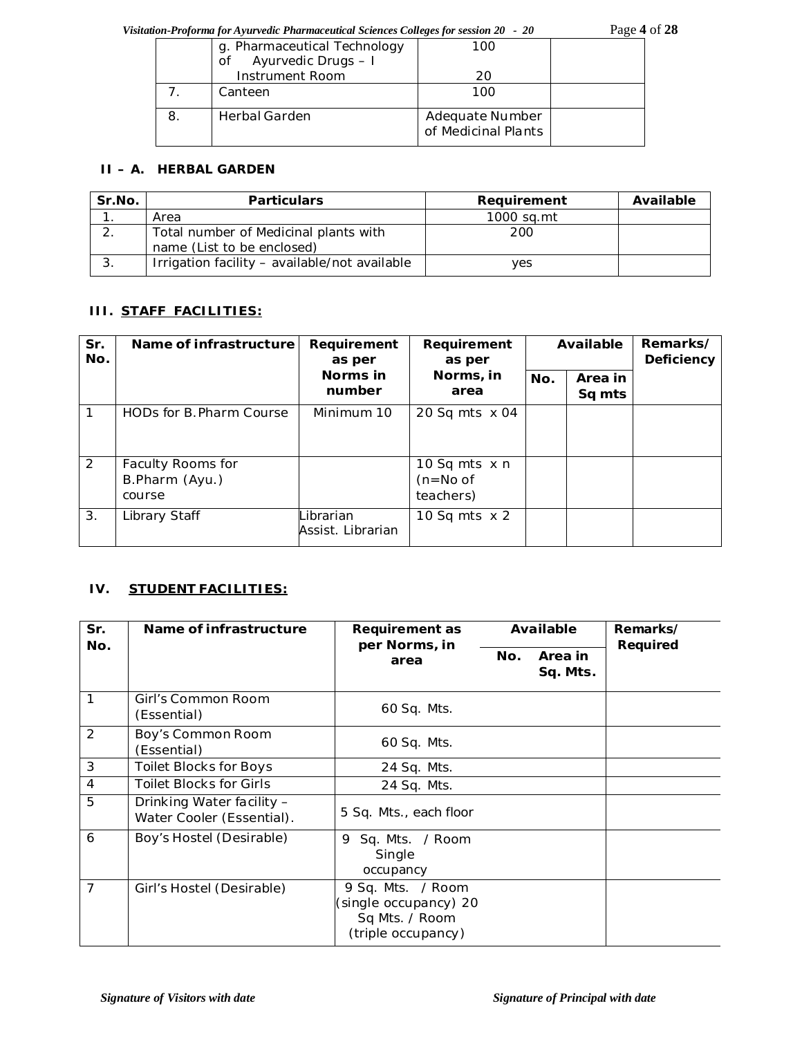*Visitation-Proforma for Ayurvedic Pharmaceutical Sciences Colleges for session 20 - 20* Page **4** of **28**

|   | g. Pharmaceutical Technology<br>Ayurvedic Drugs - I<br>Οf | 100                                    |  |
|---|-----------------------------------------------------------|----------------------------------------|--|
|   | Instrument Room                                           | 20                                     |  |
|   | Canteen                                                   | 100                                    |  |
| 8 | <b>Herbal Garden</b>                                      | Adequate Number<br>of Medicinal Plants |  |

## **II – A. HERBAL GARDEN**

| Sr.No. | <b>Particulars</b>                                                  | Requirement | Available |
|--------|---------------------------------------------------------------------|-------------|-----------|
|        | Area                                                                | 1000 sa.mt  |           |
| . ے    | Total number of Medicinal plants with<br>name (List to be enclosed) | 200         |           |
| -3.    | Irrigation facility - available/not available                       | yes         |           |

## **III. STAFF FACILITIES:**

| Sr.<br>No. | Name of infrastructure<br>Requirement<br>Requirement<br>as per<br>as per |                                | Available                                       |     | Remarks/<br>Deficiency |  |
|------------|--------------------------------------------------------------------------|--------------------------------|-------------------------------------------------|-----|------------------------|--|
|            |                                                                          | Norms in<br>number             | Norms, in<br>area                               | No. | Area in<br>Sq mts      |  |
|            | HODs for B. Pharm Course                                                 | Minimum 10                     | 20 Sq mts $\times$ 04                           |     |                        |  |
| 2          | Faculty Rooms for<br>B.Pharm (Ayu.)<br>course                            |                                | 10 Sq mts $\times$ n<br>$(n=No of$<br>teachers) |     |                        |  |
| 3.         | Library Staff                                                            | Librarian<br>Assist. Librarian | 10 Sq mts $\times$ 2                            |     |                        |  |

## **IV. STUDENT FACILITIES:**

| Sr.<br>No.     | Name of infrastructure                                 | Requirement as<br>per Norms, in                                                    |     | Available           | Remarks/<br>Required |
|----------------|--------------------------------------------------------|------------------------------------------------------------------------------------|-----|---------------------|----------------------|
|                | area                                                   |                                                                                    | No. | Area in<br>Sq. Mts. |                      |
| 1              | Girl's Common Room<br>(Essential)                      | 60 Sq. Mts.                                                                        |     |                     |                      |
| 2              | Boy's Common Room<br>(Essential)                       | 60 Sq. Mts.                                                                        |     |                     |                      |
| 3              | Toilet Blocks for Boys                                 | 24 Sq. Mts.                                                                        |     |                     |                      |
| $\overline{4}$ | <b>Toilet Blocks for Girls</b>                         | 24 Sq. Mts.                                                                        |     |                     |                      |
| 5              | Drinking Water facility -<br>Water Cooler (Essential). | 5 Sq. Mts., each floor                                                             |     |                     |                      |
| 6              | Boy's Hostel (Desirable)                               | Sq. Mts. / Room<br>9<br>Single<br>occupancy                                        |     |                     |                      |
| $\overline{7}$ | Girl's Hostel (Desirable)                              | 9 Sq. Mts. / Room<br>(single occupancy) 20<br>Sq Mts. / Room<br>(triple occupancy) |     |                     |                      |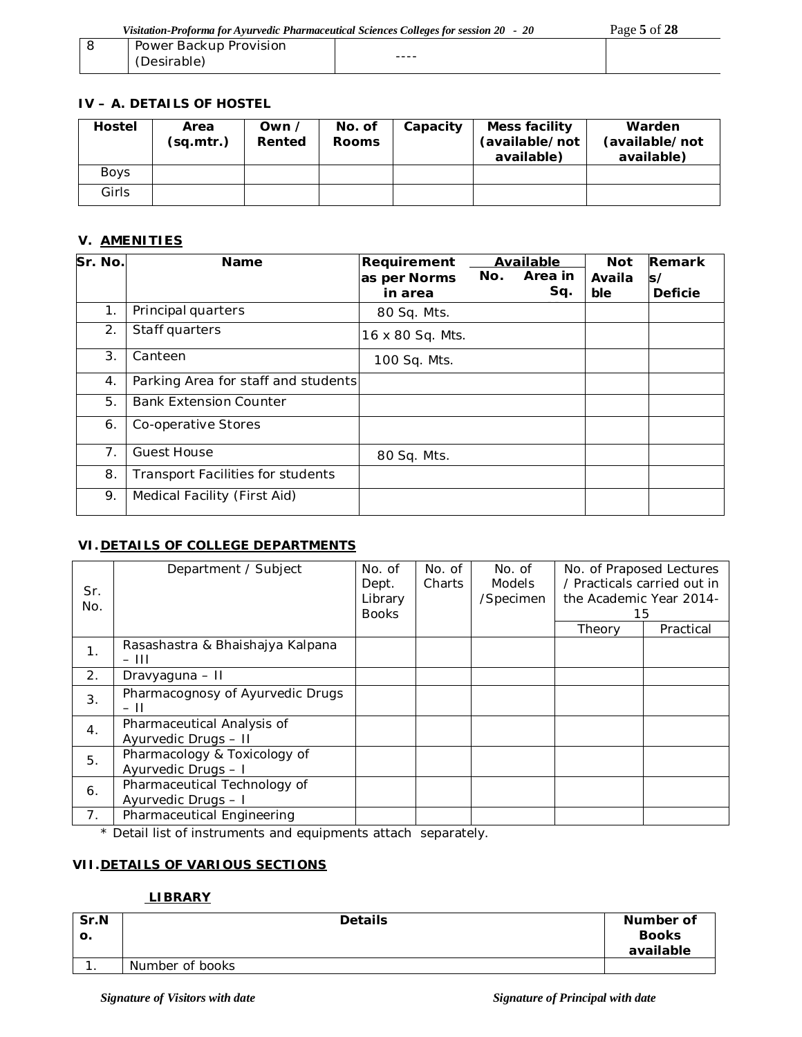| Visitation-Proforma for Ayurvedic Pharmaceutical Sciences Colleges for session 20 - 20 |           | Page 5 of 28 |
|----------------------------------------------------------------------------------------|-----------|--------------|
| Power Backup Provision                                                                 |           |              |
| (Desirable)                                                                            | $- - - -$ |              |

## **IV – A. DETAILS OF HOSTEL**

| <b>Hostel</b> | Area<br>(sq.mtr.) | Own /<br>Rented | No. of<br><b>Rooms</b> | Capacity | Mess facility<br>(available/not<br>available) | Warden<br>(available/not<br>available) |
|---------------|-------------------|-----------------|------------------------|----------|-----------------------------------------------|----------------------------------------|
| <b>Boys</b>   |                   |                 |                        |          |                                               |                                        |
| Girls         |                   |                 |                        |          |                                               |                                        |

## **V. AMENITIES**

| Sr. No. | <b>Name</b>                         | Requirement      |     | Available | <b>Not</b> | Remark         |
|---------|-------------------------------------|------------------|-----|-----------|------------|----------------|
|         |                                     | as per Norms     | No. | Area in   | Availa     | s/             |
|         |                                     | in area          |     | Sq.       | ble        | <b>Deficie</b> |
| 1.      | Principal quarters                  | 80 Sq. Mts.      |     |           |            |                |
| 2.      | Staff quarters                      | 16 x 80 Sq. Mts. |     |           |            |                |
| 3.      | Canteen                             | 100 Sq. Mts.     |     |           |            |                |
| 4.      | Parking Area for staff and students |                  |     |           |            |                |
| 5.      | <b>Bank Extension Counter</b>       |                  |     |           |            |                |
| 6.      | Co-operative Stores                 |                  |     |           |            |                |
| 7.      | <b>Guest House</b>                  | 80 Sq. Mts.      |     |           |            |                |
| 8.      | Transport Facilities for students   |                  |     |           |            |                |
| 9.      | Medical Facility (First Aid)        |                  |     |           |            |                |

# **VI. DETAILS OF COLLEGE DEPARTMENTS**

| Sr.<br>No. | Department / Subject                                | No. of<br>Dept.<br>Library<br><b>Books</b> | No. of<br><b>Charts</b> | No. of<br><b>Models</b><br>/Specimen | No. of Praposed Lectures<br>/ Practicals carried out in<br>the Academic Year 2014-<br>15 |           |
|------------|-----------------------------------------------------|--------------------------------------------|-------------------------|--------------------------------------|------------------------------------------------------------------------------------------|-----------|
|            |                                                     |                                            |                         |                                      | Theory                                                                                   | Practical |
| 1.         | Rasashastra & Bhaishajya Kalpana<br>- 111           |                                            |                         |                                      |                                                                                          |           |
| 2.         | Dravyaguna - II                                     |                                            |                         |                                      |                                                                                          |           |
| 3.         | Pharmacognosy of Ayurvedic Drugs<br>- 11            |                                            |                         |                                      |                                                                                          |           |
| 4.         | Pharmaceutical Analysis of<br>Ayurvedic Drugs - II  |                                            |                         |                                      |                                                                                          |           |
| 5.         | Pharmacology & Toxicology of<br>Ayurvedic Drugs - I |                                            |                         |                                      |                                                                                          |           |
| 6.         | Pharmaceutical Technology of<br>Ayurvedic Drugs - I |                                            |                         |                                      |                                                                                          |           |
| 7.         | Pharmaceutical Engineering                          |                                            |                         |                                      |                                                                                          |           |

\* Detail list of instruments and equipments attach separately.

# **VII.DETAILS OF VARIOUS SECTIONS**

#### **LIBRARY**

| Sr.N<br>О. | <b>Details</b>  | Number of<br><b>Books</b><br>available |
|------------|-----------------|----------------------------------------|
|            | Number of books |                                        |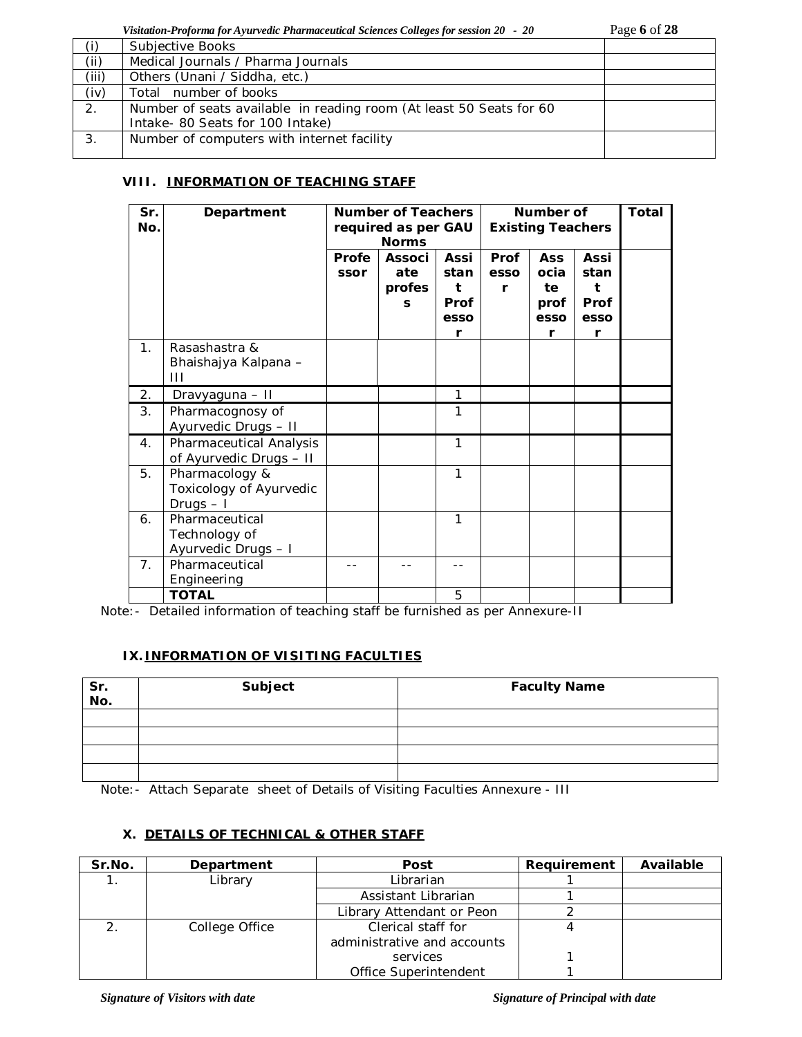*Visitation-Proforma for Ayurvedic Pharmaceutical Sciences Colleges for session 20 - 20* Page **6** of **28**

| (i)   | Subjective Books                                                    |  |
|-------|---------------------------------------------------------------------|--|
| (i)   | Medical Journals / Pharma Journals                                  |  |
| (iii) | Others (Unani / Siddha, etc.)                                       |  |
| (iv)  | Total number of books                                               |  |
| 2.    | Number of seats available in reading room (At least 50 Seats for 60 |  |
|       | Intake- 80 Seats for 100 Intake)                                    |  |
| 3.    | Number of computers with internet facility                          |  |
|       |                                                                     |  |

## **VIII. INFORMATION OF TEACHING STAFF**

| Sr.<br>No.     | Department                                              | <b>Number of Teachers</b><br>required as per GAU<br><b>Norms</b> |                                     |                                                      |                   | Number of<br><b>Existing Teachers</b>         |                                               | Total |
|----------------|---------------------------------------------------------|------------------------------------------------------------------|-------------------------------------|------------------------------------------------------|-------------------|-----------------------------------------------|-----------------------------------------------|-------|
|                |                                                         | Profe<br>ssor                                                    | <b>Associ</b><br>ate<br>profes<br>S | <b>Assi</b><br>stan<br>t<br><b>Prof</b><br>esso<br>r | Prof<br>esso<br>r | <b>Ass</b><br>ocia<br>te<br>prof<br>esso<br>r | <b>Assi</b><br>stan<br>t<br>Prof<br>esso<br>r |       |
| 1 <sub>1</sub> | Rasashastra &<br>Bhaishajya Kalpana -<br>Ш              |                                                                  |                                     |                                                      |                   |                                               |                                               |       |
| 2.             | Dravyaguna - II                                         |                                                                  |                                     | 1                                                    |                   |                                               |                                               |       |
| 3.             | Pharmacognosy of<br>Ayurvedic Drugs - II                |                                                                  |                                     | 1                                                    |                   |                                               |                                               |       |
| $\mathbf{4}$ . | Pharmaceutical Analysis<br>of Ayurvedic Drugs - II      |                                                                  |                                     | 1                                                    |                   |                                               |                                               |       |
| 5.             | Pharmacology &<br>Toxicology of Ayurvedic<br>Drugs $-1$ |                                                                  |                                     | $\mathbf{1}$                                         |                   |                                               |                                               |       |
| 6.             | Pharmaceutical<br>Technology of<br>Ayurvedic Drugs - I  |                                                                  |                                     | 1                                                    |                   |                                               |                                               |       |
| 7.             | Pharmaceutical<br>Engineering                           |                                                                  |                                     |                                                      |                   |                                               |                                               |       |
|                | <b>TOTAL</b>                                            |                                                                  |                                     | 5                                                    |                   |                                               |                                               |       |

Note:- Detailed information of teaching staff be furnished as per Annexure-II

## **IX. INFORMATION OF VISITING FACULTIES**

| Sr.<br>No. | Subject | <b>Faculty Name</b> |
|------------|---------|---------------------|
|            |         |                     |
|            |         |                     |
|            |         |                     |
|            |         |                     |

Note:- Attach Separate sheet of Details of Visiting Faculties Annexure - III

#### **X. DETAILS OF TECHNICAL & OTHER STAFF**

| Sr.No. | Department     | Post                        | Requirement | Available |
|--------|----------------|-----------------------------|-------------|-----------|
|        | Library        | Librarian                   |             |           |
|        |                | Assistant Librarian         |             |           |
|        |                | Library Attendant or Peon   |             |           |
|        | College Office | Clerical staff for          |             |           |
|        |                | administrative and accounts |             |           |
|        |                | services                    |             |           |
|        |                | Office Superintendent       |             |           |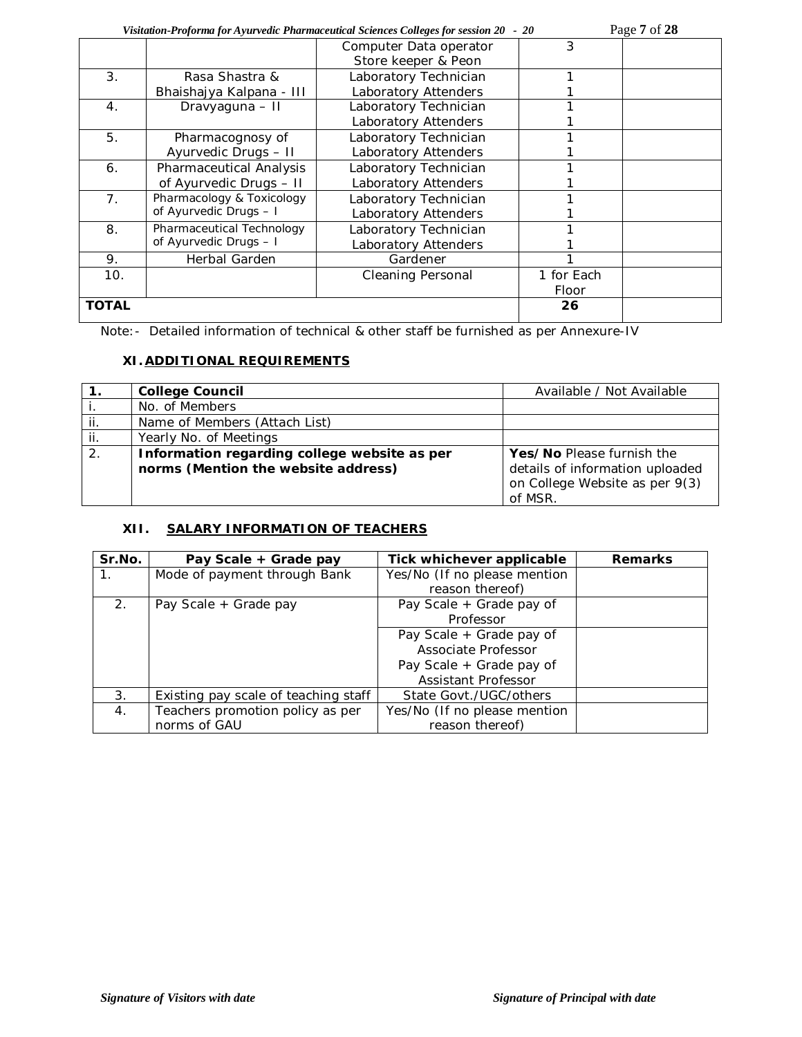|                  | Page 7 of 28<br>Visitation-Proforma for Ayurvedic Pharmaceutical Sciences Colleges for session 20 - 20 |                                               |            |  |  |  |
|------------------|--------------------------------------------------------------------------------------------------------|-----------------------------------------------|------------|--|--|--|
|                  |                                                                                                        | Computer Data operator<br>Store keeper & Peon | 3          |  |  |  |
| 3.               | Rasa Shastra &                                                                                         | Laboratory Technician                         |            |  |  |  |
|                  | Bhaishajya Kalpana - III                                                                               | Laboratory Attenders                          |            |  |  |  |
| $\overline{4}$ . | Dravyaguna - II                                                                                        | Laboratory Technician                         |            |  |  |  |
|                  |                                                                                                        | Laboratory Attenders                          |            |  |  |  |
| 5.               | Pharmacognosy of                                                                                       | Laboratory Technician                         |            |  |  |  |
|                  | Ayurvedic Drugs - II                                                                                   | Laboratory Attenders                          |            |  |  |  |
| 6.               | Pharmaceutical Analysis                                                                                | Laboratory Technician                         |            |  |  |  |
|                  | of Ayurvedic Drugs - II                                                                                | Laboratory Attenders                          |            |  |  |  |
| 7 <sub>1</sub>   | Pharmacology & Toxicology                                                                              | Laboratory Technician                         |            |  |  |  |
|                  | of Ayurvedic Drugs - I                                                                                 | Laboratory Attenders                          |            |  |  |  |
| 8.               | Pharmaceutical Technology                                                                              | Laboratory Technician                         |            |  |  |  |
|                  | of Ayurvedic Drugs - I                                                                                 | Laboratory Attenders                          |            |  |  |  |
| 9.               | Herbal Garden                                                                                          | Gardener                                      |            |  |  |  |
| 10.              |                                                                                                        | <b>Cleaning Personal</b>                      | 1 for Each |  |  |  |
|                  |                                                                                                        |                                               | Floor      |  |  |  |
| <b>TOTAL</b>     |                                                                                                        |                                               | 26         |  |  |  |

Note:- Detailed information of technical & other staff be furnished as per Annexure-IV

## **XI.ADDITIONAL REQUIREMENTS**

|     | <b>College Council</b>                       | Available / Not Available       |
|-----|----------------------------------------------|---------------------------------|
|     | No. of Members                               |                                 |
| ii. | Name of Members (Attach List)                |                                 |
| ii. | Yearly No. of Meetings                       |                                 |
| 2.  | Information regarding college website as per | Yes/No Please furnish the       |
|     | norms (Mention the website address)          | details of information uploaded |
|     |                                              | on College Website as per 9(3)  |
|     |                                              | of MSR.                         |

# **XII. SALARY INFORMATION OF TEACHERS**

| Sr.No.      | Pay Scale + Grade pay                | Tick whichever applicable    | <b>Remarks</b> |
|-------------|--------------------------------------|------------------------------|----------------|
| $1_{\cdot}$ | Mode of payment through Bank         | Yes/No (If no please mention |                |
|             |                                      | reason thereof)              |                |
| 2.          | Pay Scale + Grade pay                | Pay Scale + Grade pay of     |                |
|             |                                      | Professor                    |                |
|             |                                      | Pay Scale + Grade pay of     |                |
|             |                                      | Associate Professor          |                |
|             |                                      | Pay Scale + Grade pay of     |                |
|             |                                      | Assistant Professor          |                |
| 3.          | Existing pay scale of teaching staff | State Govt./UGC/others       |                |
| 4.          | Teachers promotion policy as per     | Yes/No (If no please mention |                |
|             | norms of GAU                         | reason thereof)              |                |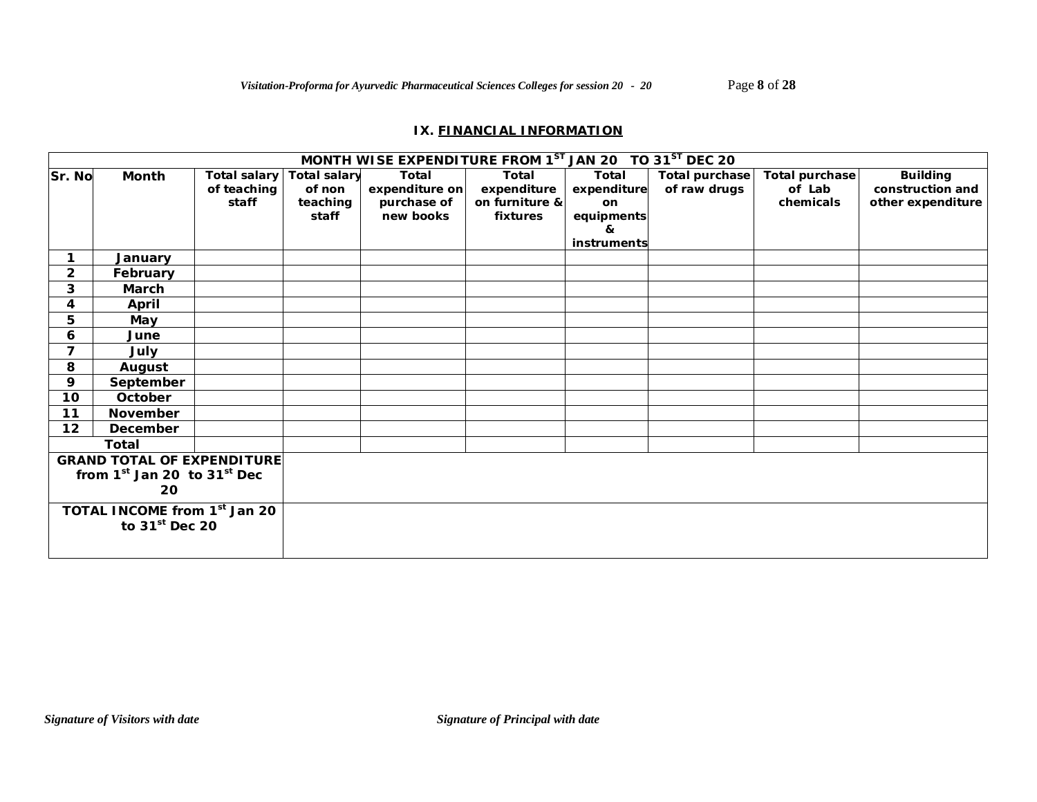### **IX. FINANCIAL INFORMATION**

|                                          |                                   |                     |                     | MONTH WISE EXPENDITURE FROM 1ST JAN 20 TO 31ST DEC 20 |                |             |                       |                |                   |
|------------------------------------------|-----------------------------------|---------------------|---------------------|-------------------------------------------------------|----------------|-------------|-----------------------|----------------|-------------------|
| Sr. No                                   | Month                             | <b>Total salary</b> | <b>Total salary</b> | Total                                                 | Total          | Total       | <b>Total purchase</b> | Total purchase | <b>Building</b>   |
|                                          |                                   | of teaching         | of non              | expenditure on                                        | expenditure    | expenditure | of raw drugs          | of Lab         | construction and  |
|                                          |                                   | staff               | teaching            | purchase of                                           | on furniture & | on          |                       | chemicals      | other expenditure |
|                                          |                                   |                     | staff               | new books                                             | fixtures       | equipments  |                       |                |                   |
|                                          |                                   |                     |                     |                                                       |                | &           |                       |                |                   |
|                                          |                                   |                     |                     |                                                       |                | instruments |                       |                |                   |
| 1                                        | January                           |                     |                     |                                                       |                |             |                       |                |                   |
| $\overline{2}$                           | February                          |                     |                     |                                                       |                |             |                       |                |                   |
| 3                                        | March                             |                     |                     |                                                       |                |             |                       |                |                   |
| 4                                        | April                             |                     |                     |                                                       |                |             |                       |                |                   |
| 5                                        | May                               |                     |                     |                                                       |                |             |                       |                |                   |
| 6                                        | June                              |                     |                     |                                                       |                |             |                       |                |                   |
| $\overline{7}$                           | July                              |                     |                     |                                                       |                |             |                       |                |                   |
| 8                                        | August                            |                     |                     |                                                       |                |             |                       |                |                   |
| 9                                        | September                         |                     |                     |                                                       |                |             |                       |                |                   |
| 10                                       | October                           |                     |                     |                                                       |                |             |                       |                |                   |
| 11                                       | November                          |                     |                     |                                                       |                |             |                       |                |                   |
| 12                                       | December                          |                     |                     |                                                       |                |             |                       |                |                   |
|                                          | <b>Total</b>                      |                     |                     |                                                       |                |             |                       |                |                   |
|                                          | <b>GRAND TOTAL OF EXPENDITURE</b> |                     |                     |                                                       |                |             |                       |                |                   |
|                                          | from $1st$ Jan 20 to $31st$ Dec   |                     |                     |                                                       |                |             |                       |                |                   |
| 20                                       |                                   |                     |                     |                                                       |                |             |                       |                |                   |
| TOTAL INCOME from 1 <sup>st</sup> Jan 20 |                                   |                     |                     |                                                       |                |             |                       |                |                   |
|                                          | to $31st$ Dec 20                  |                     |                     |                                                       |                |             |                       |                |                   |
|                                          |                                   |                     |                     |                                                       |                |             |                       |                |                   |
|                                          |                                   |                     |                     |                                                       |                |             |                       |                |                   |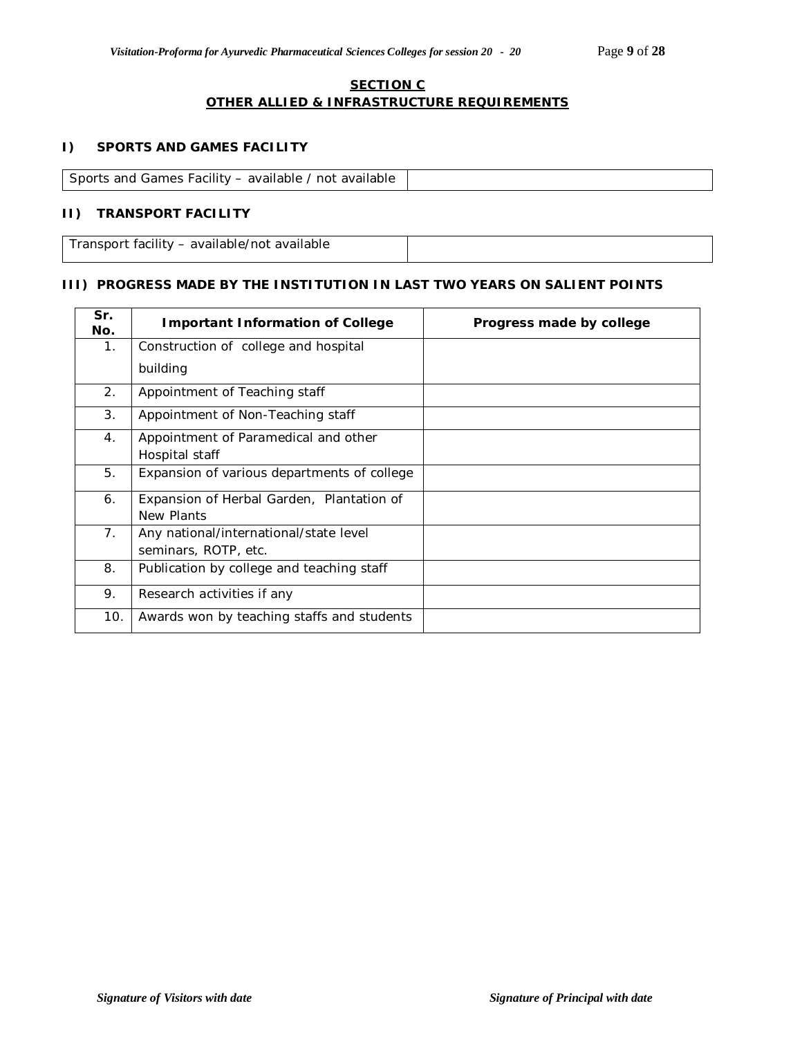### **SECTION C OTHER ALLIED & INFRASTRUCTURE REQUIREMENTS**

## **I) SPORTS AND GAMES FACILITY**

Sports and Games Facility – available / not available

### **II) TRANSPORT FACILITY**

Transport facility – available/not available

#### **III) PROGRESS MADE BY THE INSTITUTION IN LAST TWO YEARS ON SALIENT POINTS**

| Sr.<br>No.     | <b>Important Information of College</b>     | Progress made by college |
|----------------|---------------------------------------------|--------------------------|
| 1 <sub>1</sub> | Construction of college and hospital        |                          |
|                | building                                    |                          |
| 2.             | Appointment of Teaching staff               |                          |
| 3.             | Appointment of Non-Teaching staff           |                          |
| 4.             | Appointment of Paramedical and other        |                          |
|                | Hospital staff                              |                          |
| 5.             | Expansion of various departments of college |                          |
| 6.             | Expansion of Herbal Garden, Plantation of   |                          |
|                | New Plants                                  |                          |
| 7.             | Any national/international/state level      |                          |
|                | seminars, ROTP, etc.                        |                          |
| 8.             | Publication by college and teaching staff   |                          |
| 9.             | Research activities if any                  |                          |
| 10.            | Awards won by teaching staffs and students  |                          |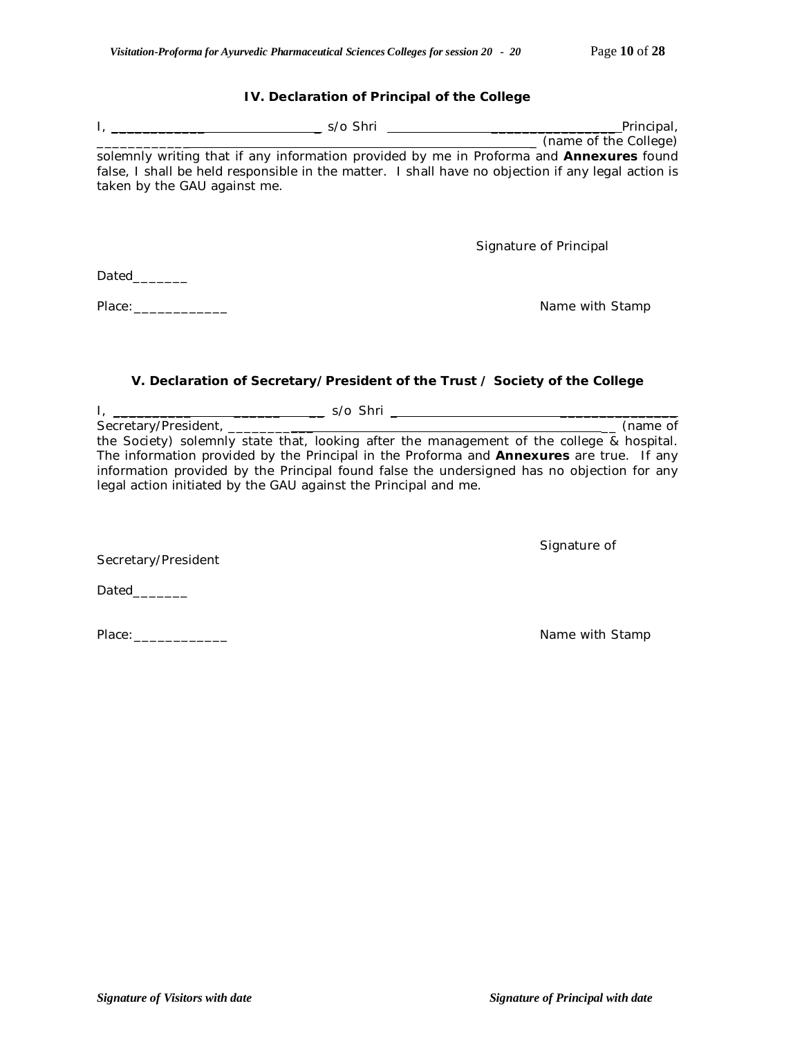# **IV. Declaration of Principal of the College**

|                                                                 | ________________________(name of the College)                                                      |
|-----------------------------------------------------------------|----------------------------------------------------------------------------------------------------|
|                                                                 | solemnly writing that if any information provided by me in Proforma and Annexures found            |
|                                                                 | false, I shall be held responsible in the matter. I shall have no objection if any legal action is |
| taken by the GAU against me.                                    |                                                                                                    |
|                                                                 |                                                                                                    |
|                                                                 |                                                                                                    |
|                                                                 |                                                                                                    |
|                                                                 | Signature of Principal                                                                             |
|                                                                 |                                                                                                    |
| Dated________                                                   |                                                                                                    |
|                                                                 |                                                                                                    |
| Place:                                                          | Name with Stamp                                                                                    |
|                                                                 |                                                                                                    |
|                                                                 |                                                                                                    |
|                                                                 |                                                                                                    |
|                                                                 |                                                                                                    |
|                                                                 | V. Declaration of Secretary/President of the Trust / Society of the College                        |
|                                                                 |                                                                                                    |
|                                                                 |                                                                                                    |
| Secretary/President, ________                                   | (name of                                                                                           |
|                                                                 | the Society) solemnly state that, looking after the management of the college & hospital.          |
|                                                                 | The information provided by the Principal in the Proforma and <b>Annexures</b> are true. If any    |
|                                                                 | information provided by the Principal found false the undersigned has no objection for any         |
| legal action initiated by the GAU against the Principal and me. |                                                                                                    |
|                                                                 |                                                                                                    |
|                                                                 |                                                                                                    |
|                                                                 |                                                                                                    |
|                                                                 | Signature of                                                                                       |
| Secretary/President                                             |                                                                                                    |
|                                                                 |                                                                                                    |
| Dated________                                                   |                                                                                                    |
|                                                                 |                                                                                                    |
|                                                                 |                                                                                                    |
| Place:                                                          | Name with Stamp                                                                                    |
|                                                                 |                                                                                                    |
|                                                                 |                                                                                                    |
|                                                                 |                                                                                                    |
|                                                                 |                                                                                                    |
|                                                                 |                                                                                                    |
|                                                                 |                                                                                                    |
|                                                                 |                                                                                                    |
|                                                                 |                                                                                                    |
|                                                                 |                                                                                                    |
|                                                                 |                                                                                                    |
|                                                                 |                                                                                                    |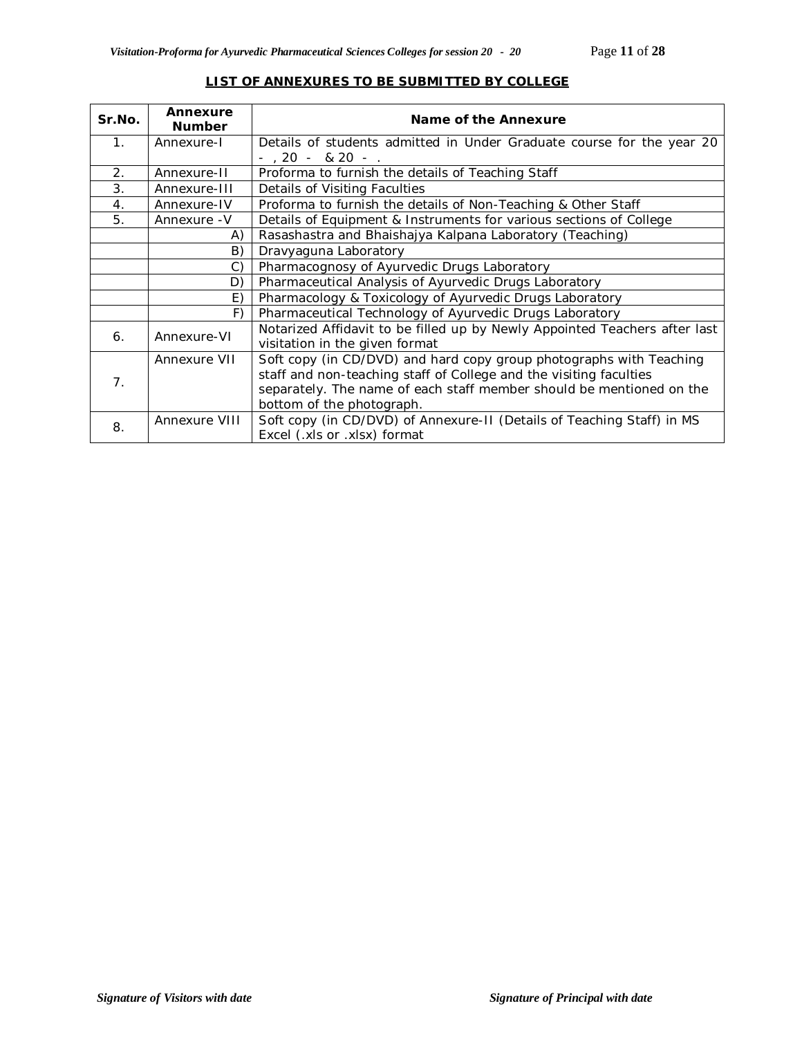| Sr.No.         | Annexure<br><b>Number</b>                                                          | Name of the Annexure                                                                                                                                                                                                                           |  |  |  |  |  |
|----------------|------------------------------------------------------------------------------------|------------------------------------------------------------------------------------------------------------------------------------------------------------------------------------------------------------------------------------------------|--|--|--|--|--|
| 1 <sub>1</sub> | Annexure-I                                                                         | Details of students admitted in Under Graduate course for the year 20                                                                                                                                                                          |  |  |  |  |  |
|                |                                                                                    | $-$ , 20 $-$ & 20 $-$ .                                                                                                                                                                                                                        |  |  |  |  |  |
| 2.             | Annexure-II                                                                        | Proforma to furnish the details of Teaching Staff                                                                                                                                                                                              |  |  |  |  |  |
| 3.             | Annexure-III<br>Details of Visiting Faculties                                      |                                                                                                                                                                                                                                                |  |  |  |  |  |
| 4.             | Proforma to furnish the details of Non-Teaching & Other Staff<br>Annexure-IV       |                                                                                                                                                                                                                                                |  |  |  |  |  |
| 5.             | Details of Equipment & Instruments for various sections of College<br>Annexure - V |                                                                                                                                                                                                                                                |  |  |  |  |  |
|                | A)                                                                                 | Rasashastra and Bhaishajya Kalpana Laboratory (Teaching)                                                                                                                                                                                       |  |  |  |  |  |
|                | B)                                                                                 | Dravyaguna Laboratory                                                                                                                                                                                                                          |  |  |  |  |  |
|                | C)                                                                                 | Pharmacognosy of Ayurvedic Drugs Laboratory                                                                                                                                                                                                    |  |  |  |  |  |
|                | D)                                                                                 | Pharmaceutical Analysis of Ayurvedic Drugs Laboratory                                                                                                                                                                                          |  |  |  |  |  |
|                | E)                                                                                 | Pharmacology & Toxicology of Ayurvedic Drugs Laboratory                                                                                                                                                                                        |  |  |  |  |  |
|                | F)                                                                                 | Pharmaceutical Technology of Ayurvedic Drugs Laboratory                                                                                                                                                                                        |  |  |  |  |  |
| 6.             | Annexure-VI                                                                        | Notarized Affidavit to be filled up by Newly Appointed Teachers after last<br>visitation in the given format                                                                                                                                   |  |  |  |  |  |
| 7.             | Annexure VII                                                                       | Soft copy (in CD/DVD) and hard copy group photographs with Teaching<br>staff and non-teaching staff of College and the visiting faculties<br>separately. The name of each staff member should be mentioned on the<br>bottom of the photograph. |  |  |  |  |  |
| 8.             | Annexure VIII                                                                      | Soft copy (in CD/DVD) of Annexure-II (Details of Teaching Staff) in MS<br>Excel (.xls or .xlsx) format                                                                                                                                         |  |  |  |  |  |

## **LIST OF ANNEXURES TO BE SUBMITTED BY COLLEGE**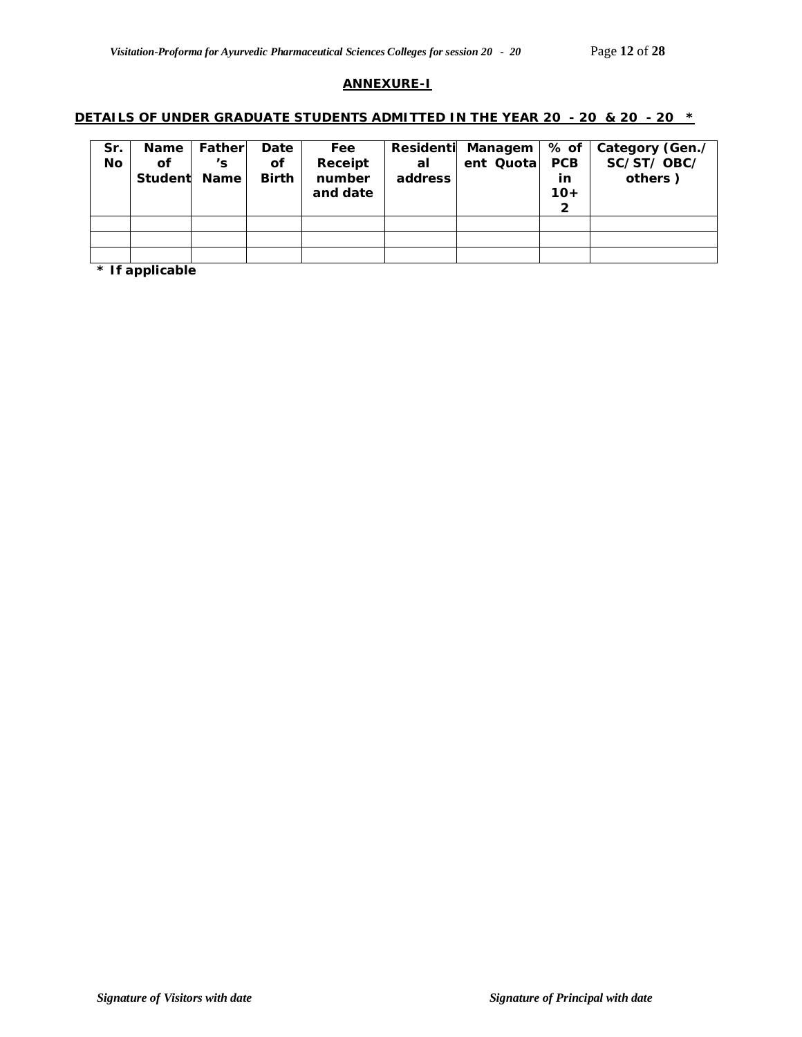#### **ANNEXURE-I**

#### **DETAILS OF UNDER GRADUATE STUDENTS ADMITTED IN THE YEAR 20 - 20 & 20 - 20 \***

| Sr.<br><b>No</b> | <b>Name</b><br>оf<br>Student                                                                                                                                                                                                    | Fatherl<br>'s<br><b>Name</b> | Date<br>Οf<br><b>Birth</b> | Fee<br>Receipt<br>number<br>and date | <b>Residenti</b><br>al<br>address | Managem<br>ent Quotal | $%$ of<br><b>PCB</b><br>in<br>$10+$<br>2 | Category (Gen./<br>SC/ST/OBC/<br>others) |
|------------------|---------------------------------------------------------------------------------------------------------------------------------------------------------------------------------------------------------------------------------|------------------------------|----------------------------|--------------------------------------|-----------------------------------|-----------------------|------------------------------------------|------------------------------------------|
|                  |                                                                                                                                                                                                                                 |                              |                            |                                      |                                   |                       |                                          |                                          |
|                  | $\Phi$ . In the contract of the line of the line of the line of the line of the line of the line of the line of the line of the line of the line of the line of the line of the line of the line of the line of the line of the |                              |                            |                                      |                                   |                       |                                          |                                          |

**\* If applicable**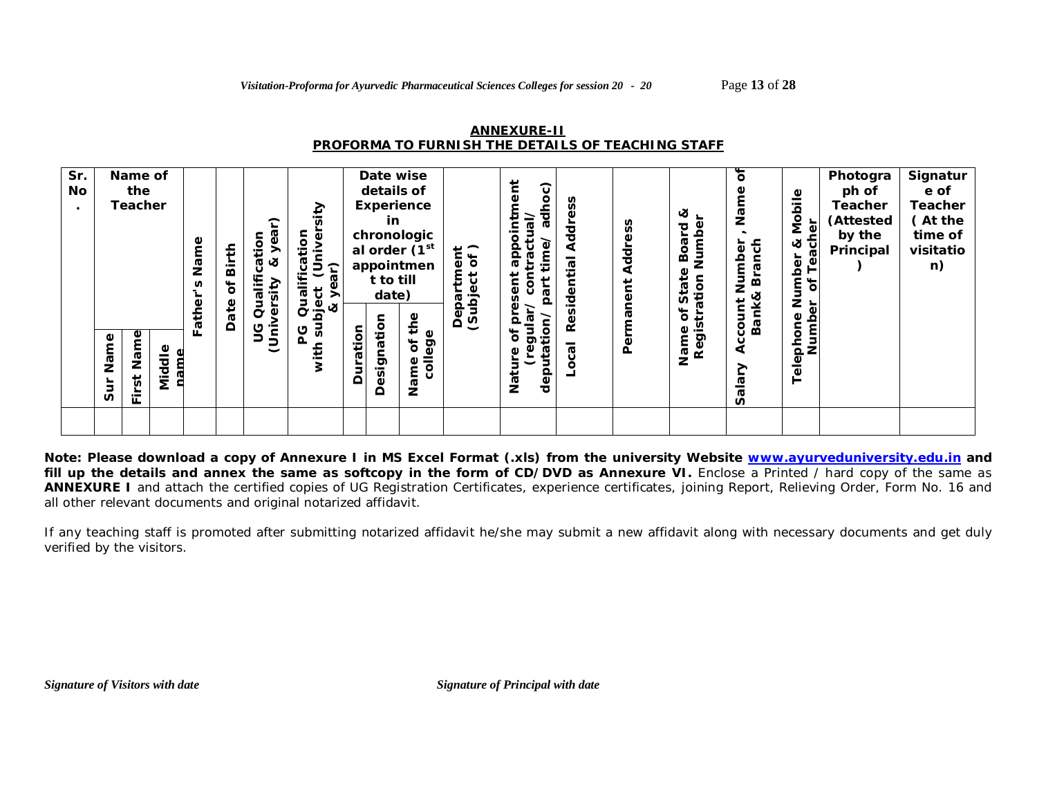| <b>ANNEXURE-II</b>                                |
|---------------------------------------------------|
| PROFORMA TO FURNISH THE DETAILS OF TEACHING STAFF |

| Sr.<br>No | Name of<br>the<br><b>Teacher</b>                                    | Name       | Birth<br>ð | ation<br>Φ<br>ಜ<br>lifi<br>Qua<br>Φ | sity<br>ō<br><u>ior</u><br>ىپ<br>ၛၟ<br>year)<br>Qualifi<br>ات<br>لا &<br>لا & |          | Date wise<br>details of<br>Experience<br>in<br>chronologic<br>al order (1 <sup>st</sup><br>appointmen<br>t to till<br>date) |                             | $\frac{1}{6}$<br>$\mathbf{b}$<br>ಕ<br>든<br>Ф<br>ω<br>ίđ<br>$\Omega$ | č<br>$\widehat{\mathbf{c}}$<br>$\circ$<br>ᄛ<br>$\bar{\mathbb{G}}$<br>actu<br>odde<br>Φ<br>ent<br>ō<br>ត | <b>Addr</b><br>ಸ<br>5<br>ه<br>ъ | Address   | త<br>Numbe<br>pue<br>BO.<br>ate<br>ation<br>پ<br>n | ৳<br>Nar<br>Z<br>Branch<br>Number             | Mobile<br>Teacher<br>જ<br>Number<br>$\overline{\sigma}$ | Photogra<br>ph of<br><b>Teacher</b><br>(Attested<br>by the<br>Principal | Signatur<br>e of<br><b>Teacher</b><br>(At the<br>time of<br>visitatio<br>n) |
|-----------|---------------------------------------------------------------------|------------|------------|-------------------------------------|-------------------------------------------------------------------------------|----------|-----------------------------------------------------------------------------------------------------------------------------|-----------------------------|---------------------------------------------------------------------|---------------------------------------------------------------------------------------------------------|---------------------------------|-----------|----------------------------------------------------|-----------------------------------------------|---------------------------------------------------------|-------------------------------------------------------------------------|-----------------------------------------------------------------------------|
|           | Name<br>Name<br>Middle<br>$\overline{\mathbf{5}}$<br>Sur<br>∸<br>ш. | ather<br>╙ | Date       | ں<br>כ<br>j<br>J<br>J               | Ju<br>ပ                                                                       | Duration | Designation                                                                                                                 | the<br>college<br>ð<br>Name | Θã<br>ଡ଼                                                            | gular<br>O.<br>$\circ$<br>৳<br>₽<br>deputa<br>Φ<br>こ<br>Nati                                            | قع<br>R<br>ᢎ                    | Permanent | ð<br>Registr<br>Name                               | <b>Bank&amp;</b><br>Account<br><u>je</u><br>n | Number<br>Telephone                                     |                                                                         |                                                                             |

**Note: Please download a copy of Annexure I in MS Excel Format (.xls) from the university Website www.ayurveduniversity.edu.in and**  fill up the details and annex the same as softcopy in the form of CD/DVD as Annexure VI. Enclose a Printed / hard copy of the same as **ANNEXURE I** and attach the certified copies of UG Registration Certificates, experience certificates, joining Report, Relieving Order, Form No. 16 and all other relevant documents and original notarized affidavit.

If any teaching staff is promoted after submitting notarized affidavit he/she may submit a new affidavit along with necessary documents and get duly verified by the visitors.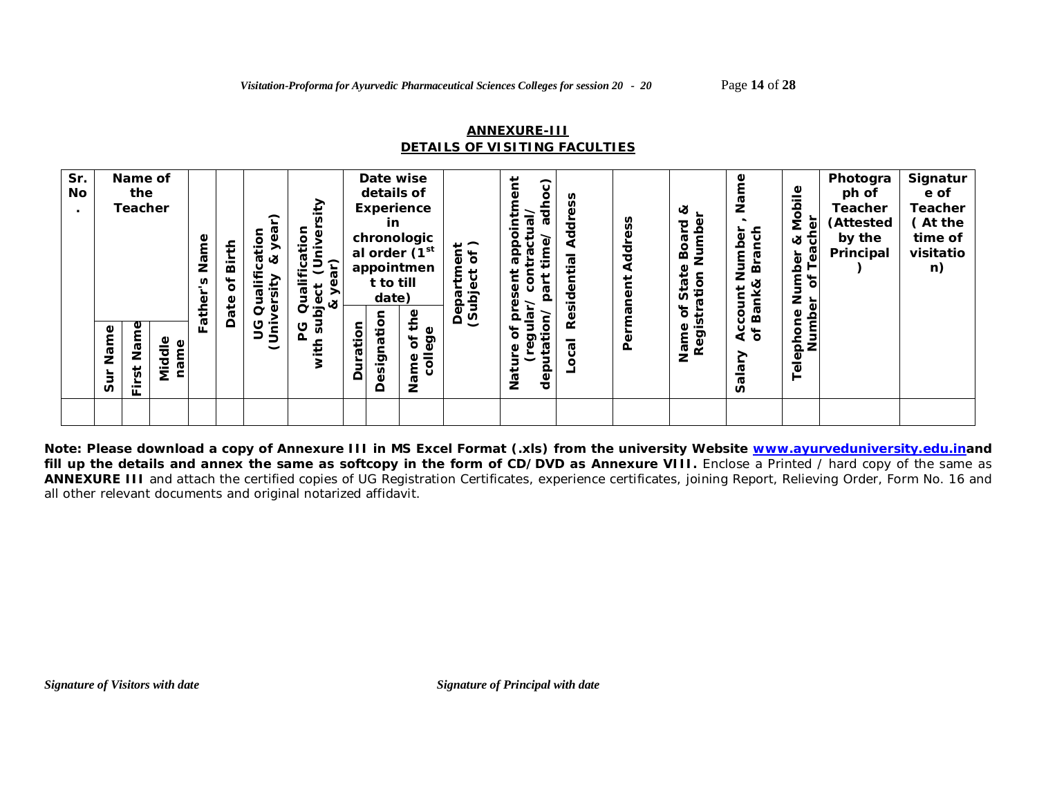## **ANNEXURE-III** *DETAILS OF VISITING FACULTIES*

| 9g<br>Name<br>ပ<br>ິທ<br>Name<br>$\circ$<br>ia<br>S<br>Name<br>ិ<br>┶<br>Φ<br>Φ<br>ත<br>ē9<br>ð<br>≗<br>ω<br>Ф<br>uta<br>Φ<br>nam<br>ਹ<br>$\bar{5}$<br>こ<br>↗<br>ত | Sr.<br>No | Name of<br>the<br><b>Teacher</b>    | Name<br>Birth<br>ð<br>S<br>ather<br>Date | $\widehat{\phantom{a}}$<br>cation<br>Φ<br>త<br>Ě<br>σ<br>ō | ≥<br>tion<br>Φ<br>Qualifica<br>つら<br>$\overline{\mathbf{y}}$<br>Φ<br>$\frac{6}{5}$ $\alpha$ |                        | Date wise<br>details of<br>Experience<br>in<br>chronologic<br>al order (1 <sup>st</sup><br>appointmen<br>t to till<br>date) | $\overline{a}$<br>۵Ë<br>ð<br>t,<br>£<br>ëid<br>ಕ<br>Dep | Ĕ<br>$\widehat{\mathbf{c}}$<br>$\circ$<br>āct<br>Φ<br>dde<br>Ë<br>ō<br>ត<br>se | 공<br>ಸ<br>Ф<br>τ | Address<br>Permanent | જ<br>Numbe<br>짇<br>Boa<br>₽<br>ation<br>$\overline{c}_1$<br>n<br>ð | Φ<br>Σå<br>anch<br>Number<br>ந்<br>Bank&<br>ount | Mobile<br>මි<br>ళ<br>ট<br>ෂී<br>Number<br>ar of Tea<br>៍ | Photogra<br>ph of<br>Teacher<br>(Attested<br>by the<br>Principal | Signatur<br>e of<br><b>Teacher</b><br>(At the<br>time of<br>visitatio<br>n) |
|--------------------------------------------------------------------------------------------------------------------------------------------------------------------|-----------|-------------------------------------|------------------------------------------|------------------------------------------------------------|---------------------------------------------------------------------------------------------|------------------------|-----------------------------------------------------------------------------------------------------------------------------|---------------------------------------------------------|--------------------------------------------------------------------------------|------------------|----------------------|--------------------------------------------------------------------|--------------------------------------------------|----------------------------------------------------------|------------------------------------------------------------------|-----------------------------------------------------------------------------|
| ≏<br>$\blacksquare$<br>n<br>щ.                                                                                                                                     |           | $\overline{\mathbf{5}}$<br>έ<br>Sur |                                          |                                                            |                                                                                             | esignation<br>Duration | the<br>Name                                                                                                                 | ত                                                       | ala<br>൨<br>dep<br>Nati                                                        | قع               |                      | Registr                                                            | Acc<br>of B                                      | Telephone Ni<br>Number                                   |                                                                  |                                                                             |

**Note: Please download a copy of Annexure III in MS Excel Format (.xls) from the university Website www.ayurveduniversity.edu.inand**  fill up the details and annex the same as softcopy in the form of CD/DVD as Annexure VIII. Enclose a Printed / hard copy of the same as **ANNEXURE III** and attach the certified copies of UG Registration Certificates, experience certificates, joining Report, Relieving Order, Form No. 16 and all other relevant documents and original notarized affidavit.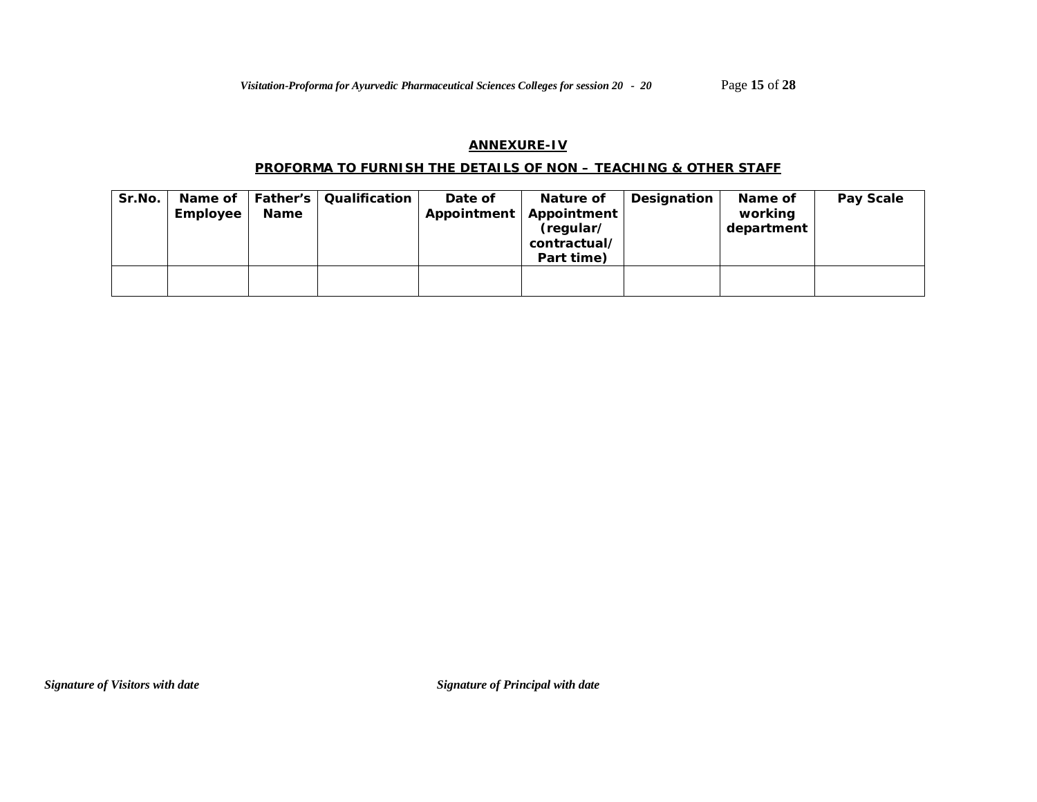## **ANNEXURE-IV**

### **PROFORMA TO FURNISH THE DETAILS OF NON – TEACHING & OTHER STAFF**

| Sr.No. | Name of<br>Employee | <b>Father's</b><br>Name | Qualification | Date of | Nature of<br>Appointment   Appointment<br>(regular/<br>contractual/<br>Part time) | Designation | Name of<br>working<br>department | Pay Scale |
|--------|---------------------|-------------------------|---------------|---------|-----------------------------------------------------------------------------------|-------------|----------------------------------|-----------|
|        |                     |                         |               |         |                                                                                   |             |                                  |           |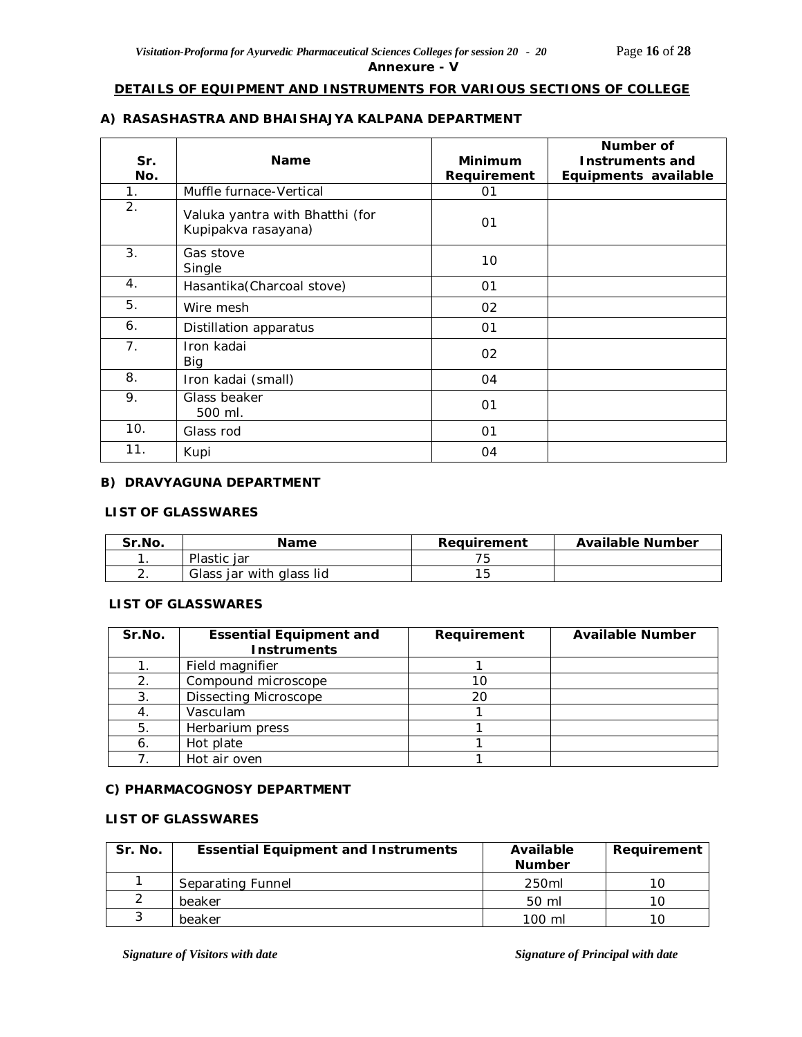## **Annexure - V**

#### **DETAILS OF EQUIPMENT AND INSTRUMENTS FOR VARIOUS SECTIONS OF COLLEGE**

## **A) RASASHASTRA AND BHAISHAJYA KALPANA DEPARTMENT**

| Sr.<br>No. | <b>Name</b>                                            | <b>Minimum</b><br>Requirement | Number of<br><b>Instruments and</b><br>Equipments available |
|------------|--------------------------------------------------------|-------------------------------|-------------------------------------------------------------|
| 1.         | Muffle furnace-Vertical                                | 01                            |                                                             |
| 2.         | Valuka yantra with Bhatthi (for<br>Kupipakva rasayana) | 01                            |                                                             |
| 3.         | Gas stove<br>Single                                    | 10                            |                                                             |
| 4.         | Hasantika(Charcoal stove)                              | 01                            |                                                             |
| 5.         | Wire mesh                                              | 02                            |                                                             |
| 6.         | Distillation apparatus                                 | 01                            |                                                             |
| 7.         | Iron kadai<br>Big                                      | 02                            |                                                             |
| 8.         | Iron kadai (small)                                     | 04                            |                                                             |
| 9.         | Glass beaker<br>500 ml.                                | 01                            |                                                             |
| 10.        | Glass rod                                              | 01                            |                                                             |
| 11.        | Kupi                                                   | 04                            |                                                             |

## **B) DRAVYAGUNA DEPARTMENT**

#### **LIST OF GLASSWARES**

| Sr.No. | Name                     | Reauirement | <b>Available Number</b> |
|--------|--------------------------|-------------|-------------------------|
|        | Plastic jar              |             |                         |
| z.     | Glass jar with glass lid |             |                         |

### **LIST OF GLASSWARES**

| Sr.No. | <b>Essential Equipment and</b><br><b>Instruments</b> | Requirement | <b>Available Number</b> |
|--------|------------------------------------------------------|-------------|-------------------------|
|        | Field magnifier                                      |             |                         |
| 2.     | Compound microscope                                  | 10          |                         |
| 3.     | <b>Dissecting Microscope</b>                         | 20          |                         |
|        | Vasculam                                             |             |                         |
| 5.     | Herbarium press                                      |             |                         |
| 6.     | Hot plate                                            |             |                         |
|        | Hot air oven                                         |             |                         |

#### **C) PHARMACOGNOSY DEPARTMENT**

#### **LIST OF GLASSWARES**

| Sr. No. | <b>Essential Equipment and Instruments</b> | Available<br><b>Number</b> | Requirement |
|---------|--------------------------------------------|----------------------------|-------------|
|         | Separating Funnel                          | 250 <sub>ml</sub>          | 10          |
|         | beaker                                     | $50 \text{ ml}$            | 10          |
|         | beaker                                     | $100 \mathrm{m}$           | 1 (         |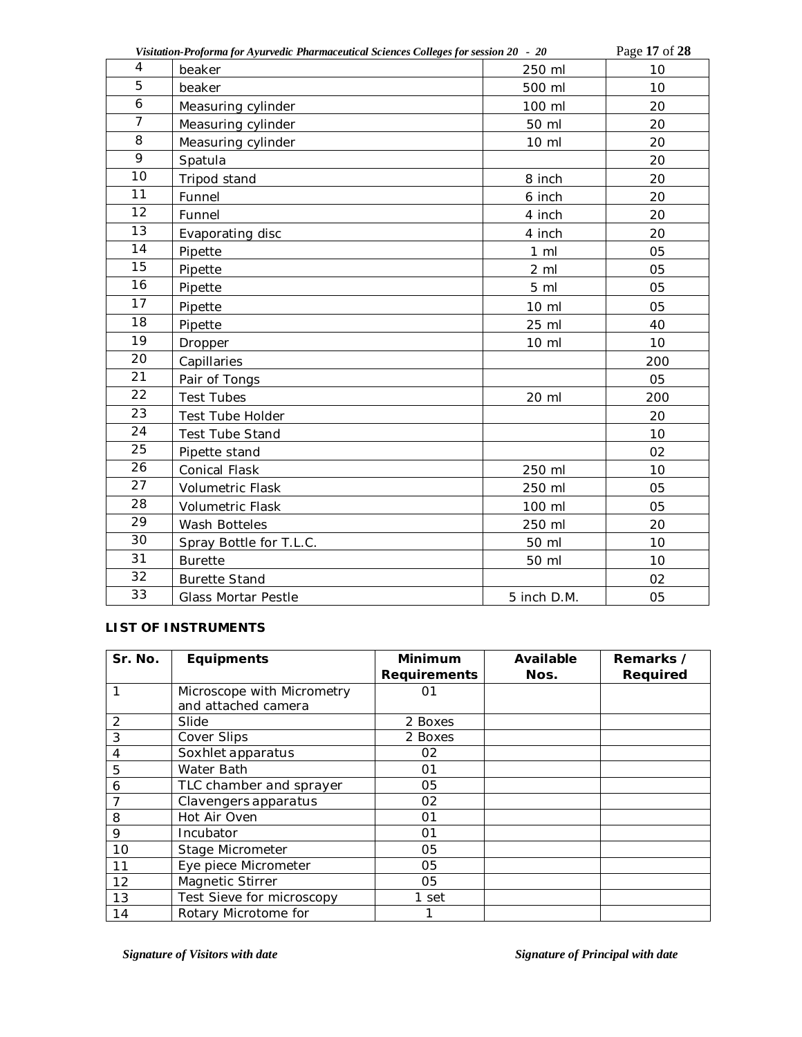|                 | Visitation-Proforma for Ayurvedic Pharmaceutical Sciences Colleges for session 20 - 20 |                | Page 17 of 28 |
|-----------------|----------------------------------------------------------------------------------------|----------------|---------------|
| 4               | beaker                                                                                 | 250 ml         | 10            |
| 5               | beaker                                                                                 | 500 ml         | 10            |
| 6               | Measuring cylinder                                                                     | 100 ml         | 20            |
| $\overline{7}$  | Measuring cylinder                                                                     | 50 ml          | 20            |
| 8               | Measuring cylinder                                                                     | 10 ml          | 20            |
| 9               | Spatula                                                                                |                | 20            |
| 10              | Tripod stand                                                                           | 8 inch         | 20            |
| 11              | Funnel                                                                                 | 6 inch         | 20            |
| 12              | Funnel                                                                                 | 4 inch         | 20            |
| $\overline{13}$ | Evaporating disc                                                                       | 4 inch         | 20            |
| 14              | Pipette                                                                                | $1 \,$ ml      | 05            |
| 15              | Pipette                                                                                | $2 \,$ ml      | 05            |
| 16              | Pipette                                                                                | 5 <sub>m</sub> | 05            |
| 17              | Pipette                                                                                | 10 ml          | 05            |
| 18              | Pipette                                                                                | 25 ml          | 40            |
| 19              | Dropper                                                                                | 10 ml          | 10            |
| 20              | Capillaries                                                                            |                | 200           |
| 21              | Pair of Tongs                                                                          |                | 05            |
| 22              | <b>Test Tubes</b>                                                                      | 20 ml          | 200           |
| 23              | Test Tube Holder                                                                       |                | 20            |
| 24              | <b>Test Tube Stand</b>                                                                 |                | 10            |
| 25              | Pipette stand                                                                          |                | 02            |
| 26              | <b>Conical Flask</b>                                                                   | 250 ml         | 10            |
| 27              | Volumetric Flask                                                                       | 250 ml         | 05            |
| 28              | <b>Volumetric Flask</b>                                                                | 100 ml         | 05            |
| 29              | Wash Botteles                                                                          | 250 ml         | 20            |
| 30              | Spray Bottle for T.L.C.                                                                | 50 ml          | 10            |
| 31              | <b>Burette</b>                                                                         | 50 ml          | 10            |
| 32              | <b>Burette Stand</b>                                                                   |                | 02            |
| 33              | <b>Glass Mortar Pestle</b>                                                             | 5 inch D.M.    | 05            |

### **LIST OF INSTRUMENTS**

| Sr. No. | <b>Equipments</b>          | <b>Minimum</b>      | Available | Remarks /       |
|---------|----------------------------|---------------------|-----------|-----------------|
|         |                            | <b>Requirements</b> | Nos.      | <b>Required</b> |
|         | Microscope with Micrometry | 01                  |           |                 |
|         | and attached camera        |                     |           |                 |
| 2       | Slide                      | 2 Boxes             |           |                 |
| 3       | Cover Slips                | 2 Boxes             |           |                 |
| 4       | Soxhlet apparatus          | 02                  |           |                 |
| 5       | Water Bath                 | 01                  |           |                 |
| 6       | TLC chamber and sprayer    | 05                  |           |                 |
|         | Clavengers apparatus       | 02                  |           |                 |
| 8       | Hot Air Oven               | 01                  |           |                 |
| 9       | Incubator                  | 01                  |           |                 |
| 10      | Stage Micrometer           | 05                  |           |                 |
| 11      | Eye piece Micrometer       | 05                  |           |                 |
| 12      | Magnetic Stirrer           | 05                  |           |                 |
| 13      | Test Sieve for microscopy  | 1 set               |           |                 |
| 14      | Rotary Microtome for       |                     |           |                 |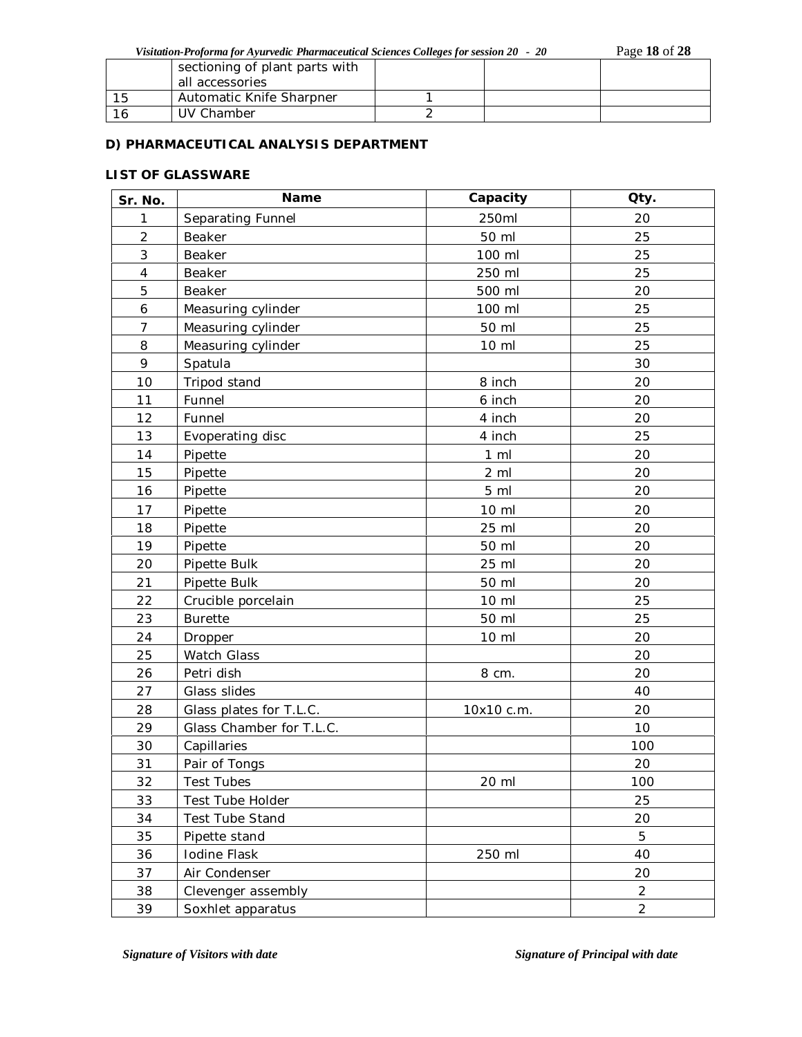*Visitation-Proforma for Ayurvedic Pharmaceutical Sciences Colleges for session 20 - 20* Page **18** of **28**

| sectioning of plant parts with<br>all accessories |  |  |
|---------------------------------------------------|--|--|
| Automatic Knife Sharpner                          |  |  |
| UV Chamber                                        |  |  |

## **D) PHARMACEUTICAL ANALYSIS DEPARTMENT**

## **LIST OF GLASSWARE**

| Sr. No.                  | Name                     | Capacity       | Qty.           |
|--------------------------|--------------------------|----------------|----------------|
| 1                        | Separating Funnel        | 250ml          | 20             |
| $\overline{2}$           | Beaker                   | 50 ml          | 25             |
| 3                        | Beaker                   | 100 ml         | 25             |
| $\overline{\mathcal{A}}$ | Beaker                   | 250 ml         | 25             |
| 5                        | Beaker                   | 500 ml         | 20             |
| 6                        | Measuring cylinder       | 100 ml         | 25             |
| $\overline{7}$           | Measuring cylinder       | 50 ml          | 25             |
| 8                        | Measuring cylinder       | 10 ml          | 25             |
| 9                        | Spatula                  |                | 30             |
| 10                       | Tripod stand             | 8 inch         | 20             |
| 11                       | Funnel                   | 6 inch         | 20             |
| 12                       | Funnel                   | 4 inch         | 20             |
| 13                       | Evoperating disc         | 4 inch         | 25             |
| 14                       | Pipette                  | $1 \,$ ml      | 20             |
| 15                       | Pipette                  | $2 \,$ ml      | 20             |
| 16                       | Pipette                  | 5 <sub>m</sub> | 20             |
| 17                       | Pipette                  | 10 ml          | 20             |
| 18                       | Pipette                  | 25 ml          | 20             |
| 19                       | Pipette                  | 50 ml          | 20             |
| 20                       | Pipette Bulk             | 25 ml          | 20             |
| 21                       | Pipette Bulk             | 50 ml          | 20             |
| 22                       | Crucible porcelain       | 10 ml          | 25             |
| 23                       | <b>Burette</b>           | 50 ml          | 25             |
| 24                       | Dropper                  | 10 ml          | 20             |
| 25                       | Watch Glass              |                | 20             |
| 26                       | Petri dish               | 8 cm.          | 20             |
| 27                       | Glass slides             |                | 40             |
| 28                       | Glass plates for T.L.C.  | 10x10 c.m.     | 20             |
| 29                       | Glass Chamber for T.L.C. |                | 10             |
| $30\,$                   | Capillaries              |                | 100            |
| 31                       | Pair of Tongs            |                | 20             |
| 32                       | <b>Test Tubes</b>        | 20 ml          | 100            |
| 33                       | Test Tube Holder         |                | 25             |
| 34                       | <b>Test Tube Stand</b>   |                | 20             |
| 35                       | Pipette stand            |                | 5              |
| 36                       | Iodine Flask             | 250 ml         | 40             |
| 37                       | Air Condenser            |                | 20             |
| 38                       | Clevenger assembly       |                | $\overline{a}$ |
| 39                       | Soxhlet apparatus        |                | $\overline{2}$ |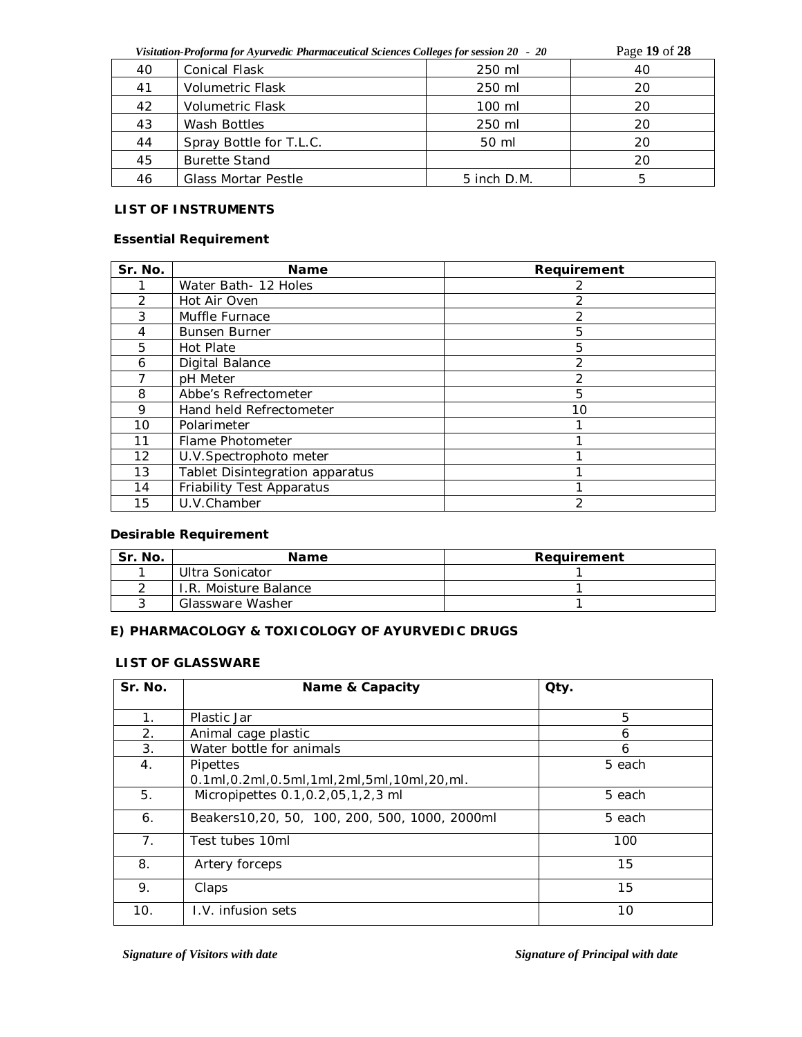|    | Visitation-Proforma for Ayurvedic Pharmaceutical Sciences Colleges for session 20 - 20 |                  | Page 19 of 28 |
|----|----------------------------------------------------------------------------------------|------------------|---------------|
| 40 | <b>Conical Flask</b>                                                                   | 250 ml           | 40            |
| 41 | Volumetric Flask                                                                       | 250 ml           | 20            |
| 42 | <b>Volumetric Flask</b>                                                                | 100 ml           | 20            |
| 43 | Wash Bottles                                                                           | 250 ml           | 20            |
| 44 | Spray Bottle for T.L.C.                                                                | 50 ml            | 20            |
| 45 | <b>Burette Stand</b>                                                                   |                  | 20            |
| 46 | <b>Glass Mortar Pestle</b>                                                             | $5$ inch $D.M$ . | 5             |

## **LIST OF INSTRUMENTS**

## **Essential Requirement**

| Sr. No.       | <b>Name</b>                     | Requirement   |
|---------------|---------------------------------|---------------|
|               | Water Bath- 12 Holes            |               |
| $\mathcal{P}$ | Hot Air Oven                    | 2             |
| 3             | Muffle Furnace                  | 2             |
| 4             | <b>Bunsen Burner</b>            | 5             |
| 5             | <b>Hot Plate</b>                | 5             |
| 6             | Digital Balance                 | 2             |
|               | pH Meter                        | 2             |
| 8             | Abbe's Refrectometer            | 5             |
| 9             | Hand held Refrectometer         | 10            |
| 10            | Polarimeter                     |               |
| 11            | Flame Photometer                |               |
| 12            | U.V.Spectrophoto meter          |               |
| 13            | Tablet Disintegration apparatus |               |
| 14            | Friability Test Apparatus       |               |
| 15            | U.V.Chamber                     | $\mathcal{P}$ |

## **Desirable Requirement**

| Sr. No. | Name                  | Requirement |
|---------|-----------------------|-------------|
|         | Ultra Sonicator       |             |
|         | I.R. Moisture Balance |             |
|         | Glassware Washer      |             |

## **E) PHARMACOLOGY & TOXICOLOGY OF AYURVEDIC DRUGS**

#### **LIST OF GLASSWARE**

| Sr. No.        | Name & Capacity                                               | Qty.   |
|----------------|---------------------------------------------------------------|--------|
| $\mathbf{1}$ . | Plastic Jar                                                   | 5      |
| 2.             | Animal cage plastic                                           | 6      |
| 3.             | Water bottle for animals                                      | 6      |
| 4.             | Pipettes<br>0.1ml, 0.2ml, 0.5ml, 1ml, 2ml, 5ml, 10ml, 20, ml. | 5 each |
| 5.             | Micropipettes 0.1, 0.2, 05, 1, 2, 3 ml                        | 5 each |
| 6.             | Beakers10,20, 50, 100, 200, 500, 1000, 2000ml                 | 5 each |
| 7 <sub>1</sub> | Test tubes 10ml                                               | 100    |
| 8.             | Artery forceps                                                | 15     |
| 9.             | Claps                                                         | 15     |
| 10.            | I.V. infusion sets                                            | 10     |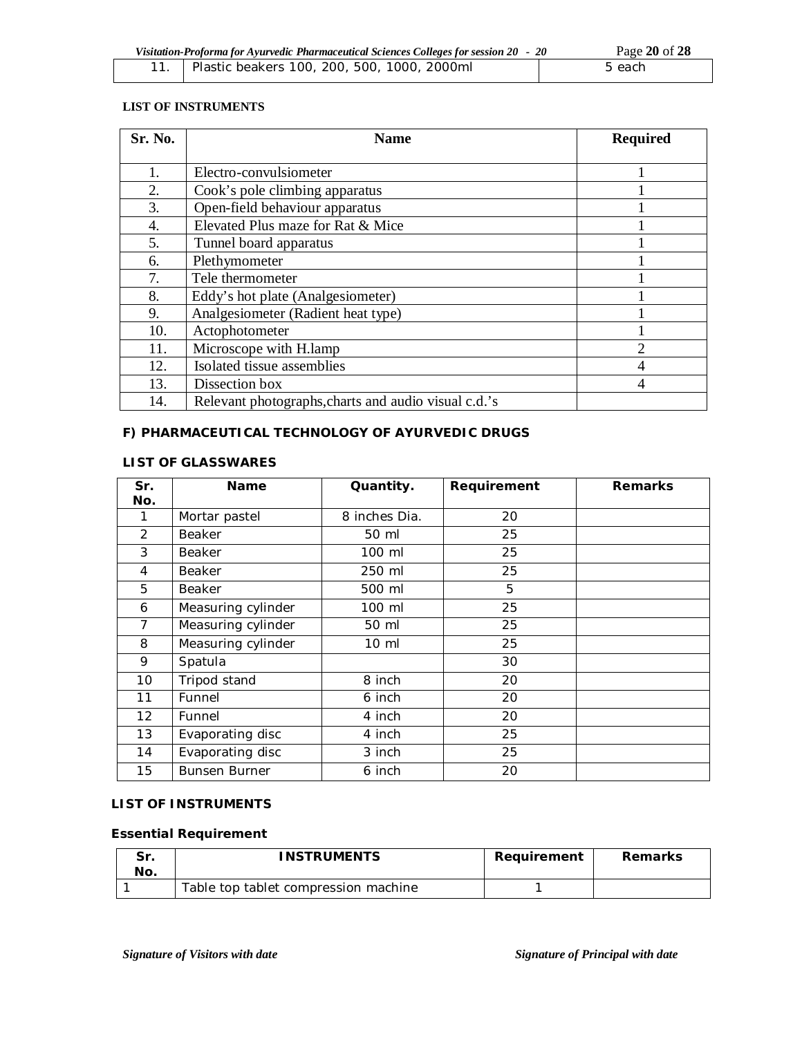| Visitation-Proforma for Ayurvedic Pharmaceutical Sciences Colleges for session 20 - 20 |                                                   | Page 20 of 28 |
|----------------------------------------------------------------------------------------|---------------------------------------------------|---------------|
|                                                                                        | 11.   Plastic beakers 100, 200, 500, 1000, 2000ml | 5 each        |

### **LIST OF INSTRUMENTS**

| Sr. No. | <b>Name</b>                                          | <b>Required</b> |
|---------|------------------------------------------------------|-----------------|
|         |                                                      |                 |
| 1.      | Electro-convulsiometer                               |                 |
| 2.      | Cook's pole climbing apparatus                       |                 |
| 3.      | Open-field behaviour apparatus                       |                 |
| 4.      | Elevated Plus maze for Rat & Mice                    |                 |
| 5.      | Tunnel board apparatus                               |                 |
| 6.      | Plethymometer                                        |                 |
| 7.      | Tele thermometer                                     |                 |
| 8.      | Eddy's hot plate (Analgesiometer)                    |                 |
| 9.      | Analgesiometer (Radient heat type)                   |                 |
| 10.     | Actophotometer                                       |                 |
| 11.     | Microscope with H.lamp                               | $\overline{2}$  |
| 12.     | Isolated tissue assemblies                           | 4               |
| 13.     | Dissection box                                       | 4               |
| 14.     | Relevant photographs, charts and audio visual c.d.'s |                 |

# **F) PHARMACEUTICAL TECHNOLOGY OF AYURVEDIC DRUGS**

## **LIST OF GLASSWARES**

| Sr. | <b>Name</b>          | Quantity.       | Requirement | <b>Remarks</b> |
|-----|----------------------|-----------------|-------------|----------------|
| No. |                      |                 |             |                |
| 1   | Mortar pastel        | 8 inches Dia.   | 20          |                |
| 2   | Beaker               | 50 ml           | 25          |                |
| 3   | <b>Beaker</b>        | 100 ml          | 25          |                |
| 4   | Beaker               | 250 ml          | 25          |                |
| 5   | <b>Beaker</b>        | 500 ml          | 5           |                |
| 6   | Measuring cylinder   | 100 ml          | 25          |                |
| 7   | Measuring cylinder   | 50 ml           | 25          |                |
| 8   | Measuring cylinder   | $10 \mathrm{m}$ | 25          |                |
| 9   | Spatula              |                 | 30          |                |
| 10  | Tripod stand         | 8 inch          | 20          |                |
| 11  | Funnel               | 6 inch          | 20          |                |
| 12  | Funnel               | 4 inch          | 20          |                |
| 13  | Evaporating disc     | 4 inch          | 25          |                |
| 14  | Evaporating disc     | 3 inch          | 25          |                |
| 15  | <b>Bunsen Burner</b> | 6 inch          | 20          |                |

### **LIST OF INSTRUMENTS**

# **Essential Requirement**

| Sr.<br>No. | <b>INSTRUMENTS</b>                   | Reauirement | Remarks |
|------------|--------------------------------------|-------------|---------|
|            | Table top tablet compression machine |             |         |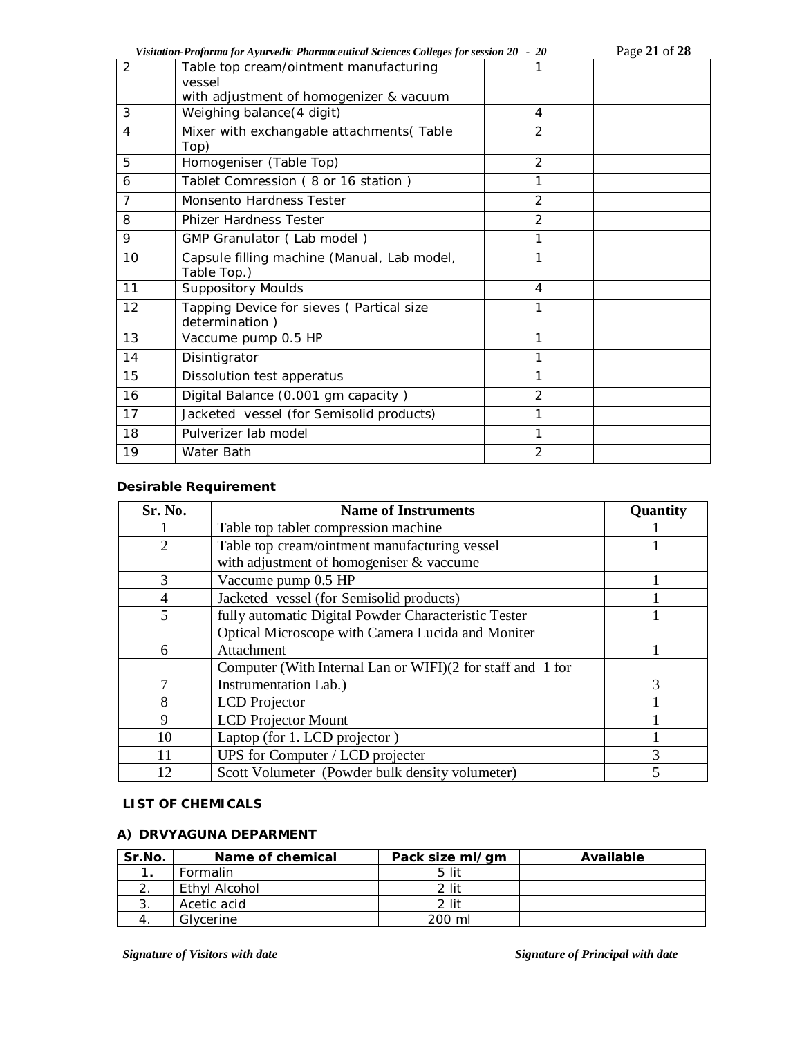|                | Visitation-Proforma for Ayurvedic Pharmaceutical Sciences Colleges for session 20 - 20      |                | Page 21 of 28 |
|----------------|---------------------------------------------------------------------------------------------|----------------|---------------|
| 2              | Table top cream/ointment manufacturing<br>vessel<br>with adjustment of homogenizer & vacuum | 1              |               |
| 3              | Weighing balance (4 digit)                                                                  | 4              |               |
| $\overline{4}$ | Mixer with exchangable attachments (Table<br>Top)                                           | $\overline{2}$ |               |
| 5              | Homogeniser (Table Top)                                                                     | $\overline{2}$ |               |
| 6              | Tablet Comression (8 or 16 station)                                                         | 1              |               |
| $\overline{7}$ | Monsento Hardness Tester                                                                    | $\overline{2}$ |               |
| 8              | <b>Phizer Hardness Tester</b>                                                               | $\overline{2}$ |               |
| 9              | GMP Granulator (Lab model)                                                                  | 1              |               |
| 10             | Capsule filling machine (Manual, Lab model,<br>Table Top.)                                  | 1              |               |
| 11             | <b>Suppository Moulds</b>                                                                   | 4              |               |
| 12             | Tapping Device for sieves (Partical size<br>determination)                                  | 1              |               |
| 13             | Vaccume pump 0.5 HP                                                                         | 1              |               |
| 14             | Disintigrator                                                                               |                |               |
| 15             | Dissolution test apperatus                                                                  |                |               |
| 16             | Digital Balance (0.001 gm capacity)                                                         | $\overline{2}$ |               |
| 17             | Jacketed vessel (for Semisolid products)                                                    | 1              |               |
| 18             | Pulverizer lab model                                                                        | 1              |               |
| 19             | Water Bath                                                                                  | $\overline{2}$ |               |

# **Desirable Requirement**

| Sr. No.        | <b>Name of Instruments</b>                                 | <b>Quantity</b> |
|----------------|------------------------------------------------------------|-----------------|
|                | Table top tablet compression machine                       |                 |
| $\overline{2}$ | Table top cream/ointment manufacturing vessel              |                 |
|                | with adjustment of homogeniser & vaccume                   |                 |
| 3              | Vaccume pump 0.5 HP                                        |                 |
| 4              | Jacketed vessel (for Semisolid products)                   |                 |
| 5              | fully automatic Digital Powder Characteristic Tester       |                 |
|                | Optical Microscope with Camera Lucida and Moniter          |                 |
| 6              | Attachment                                                 |                 |
|                | Computer (With Internal Lan or WIFI)(2 for staff and 1 for |                 |
|                | Instrumentation Lab.)                                      | 3               |
| 8              | LCD Projector                                              |                 |
| 9              | <b>LCD</b> Projector Mount                                 |                 |
| 10             | Laptop (for 1. LCD projector)                              |                 |
| 11             | UPS for Computer / LCD projecter                           |                 |
| 12             | Scott Volumeter (Powder bulk density volumeter)            |                 |

## **LIST OF CHEMICALS**

# **A) DRVYAGUNA DEPARMENT**

| Sr.No. | Name of chemical | Pack size ml/gm | Available |
|--------|------------------|-----------------|-----------|
|        | <b>Formalin</b>  | 5 lit           |           |
|        | Ethyl Alcohol    | 2 lit           |           |
| . ب    | Acetic acid      | 2 lit           |           |
|        | Glycerine        | 200 ml          |           |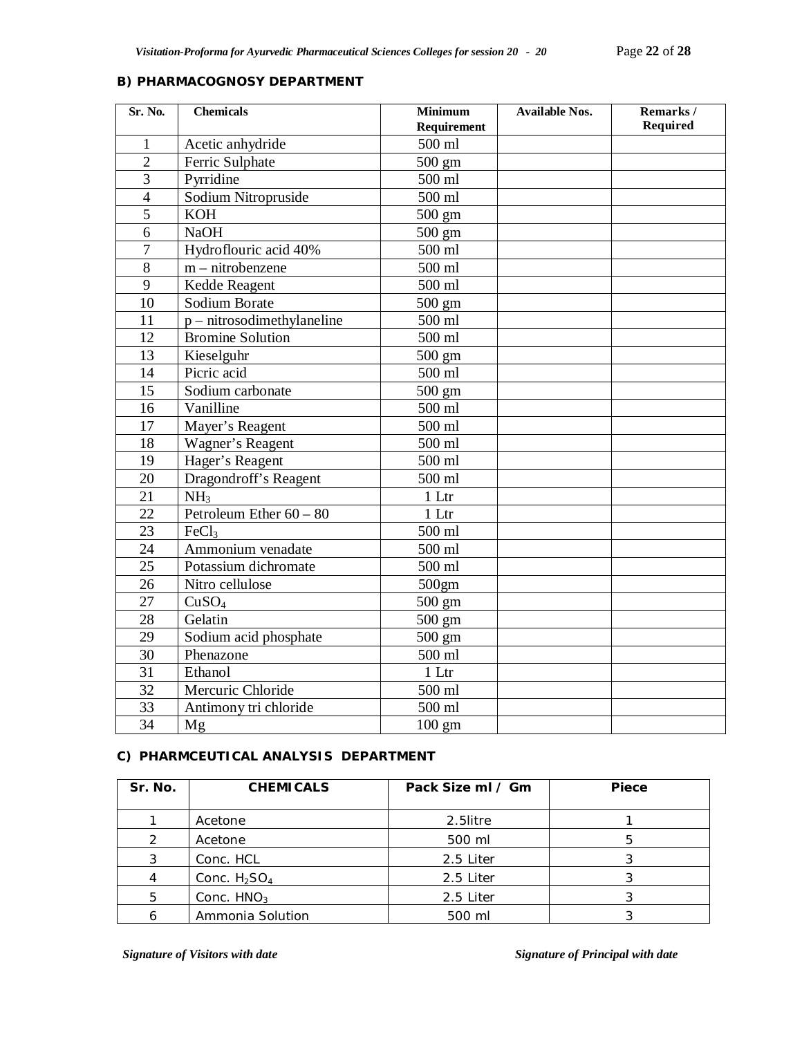# **B) PHARMACOGNOSY DEPARTMENT**

| Sr. No.        | <b>Chemicals</b>             | <b>Minimum</b><br>Requirement | <b>Available Nos.</b> | Remarks/<br>Required |
|----------------|------------------------------|-------------------------------|-----------------------|----------------------|
| $\mathbf{1}$   | Acetic anhydride             | 500 ml                        |                       |                      |
| $\overline{2}$ | Ferric Sulphate              | 500 gm                        |                       |                      |
| $\overline{3}$ | Pyrridine                    | 500 ml                        |                       |                      |
| $\overline{4}$ | Sodium Nitropruside          | 500 ml                        |                       |                      |
| $\overline{5}$ | <b>KOH</b>                   | 500 gm                        |                       |                      |
| 6              | <b>NaOH</b>                  | 500 gm                        |                       |                      |
| $\tau$         | Hydroflouric acid 40%        | 500 ml                        |                       |                      |
| 8              | $m$ – nitrobenzene           | 500 ml                        |                       |                      |
| 9              | Kedde Reagent                | 500 ml                        |                       |                      |
| 10             | Sodium Borate                | 500 gm                        |                       |                      |
| 11             | $p$ – nitrosodimethylaneline | 500 ml                        |                       |                      |
| 12             | <b>Bromine Solution</b>      | 500 ml                        |                       |                      |
| 13             | Kieselguhr                   | 500 gm                        |                       |                      |
| 14             | Picric acid                  | 500 ml                        |                       |                      |
| 15             | Sodium carbonate             | 500 gm                        |                       |                      |
| 16             | Vanilline                    | 500 ml                        |                       |                      |
| 17             | Mayer's Reagent              | 500 ml                        |                       |                      |
| 18             | Wagner's Reagent             | 500 ml                        |                       |                      |
| 19             | Hager's Reagent              | 500 ml                        |                       |                      |
| 20             | Dragondroff's Reagent        | 500 ml                        |                       |                      |
| 21             | NH <sub>3</sub>              | 1 Ltr                         |                       |                      |
| 22             | Petroleum Ether $60 - 80$    | 1 Ltr                         |                       |                      |
| 23             | FeCl3                        | 500 ml                        |                       |                      |
| 24             | Ammonium venadate            | 500 ml                        |                       |                      |
| 25             | Potassium dichromate         | 500 ml                        |                       |                      |
| 26             | Nitro cellulose              | 500gm                         |                       |                      |
| 27             | CuSO <sub>4</sub>            | 500 gm                        |                       |                      |
| 28             | Gelatin                      | 500 gm                        |                       |                      |
| 29             | Sodium acid phosphate        | $500 \text{ gm}$              |                       |                      |
| 30             | Phenazone                    | 500 ml                        |                       |                      |
| 31             | Ethanol                      | 1 Ltr                         |                       |                      |
| 32             | Mercuric Chloride            | 500 ml                        |                       |                      |
| 33             | Antimony tri chloride        | 500 ml                        |                       |                      |
| 34             | Mg                           | $100 \text{ gm}$              |                       |                      |

## **C) PHARMCEUTICAL ANALYSIS DEPARTMENT**

| Sr. No. | <b>CHEMICALS</b> | Pack Size ml / Gm | Piece |
|---------|------------------|-------------------|-------|
|         | Acetone          | 2.5litre          |       |
|         | Acetone          | 500 ml            |       |
| 3       | Conc. HCL        | 2.5 Liter         |       |
| 4       | Conc. $H_2SO_4$  | 2.5 Liter         |       |
| 5       | Conc. $HNO3$     | 2.5 Liter         |       |
|         | Ammonia Solution | 500 ml            |       |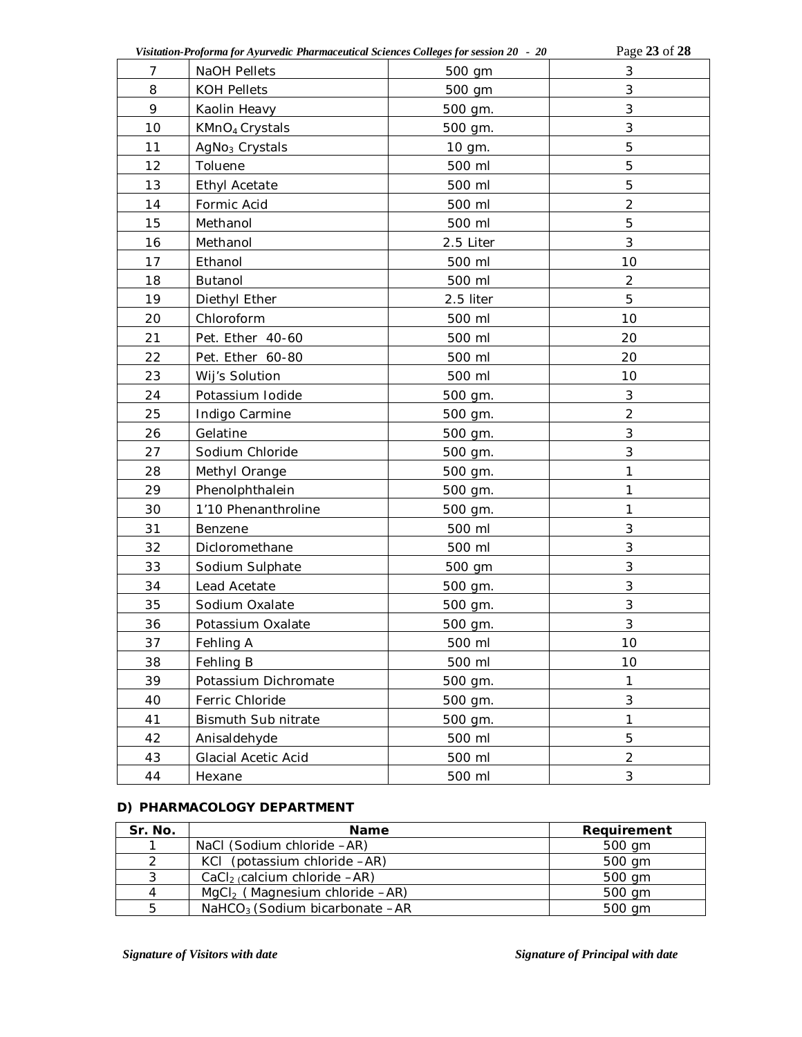| Visitation-Proforma for Ayurvedic Pharmaceutical Sciences Colleges for session 20 - 20 |                            |           | Page 23 of 28  |
|----------------------------------------------------------------------------------------|----------------------------|-----------|----------------|
| 7                                                                                      | NaOH Pellets               | 500 gm    | 3              |
| 8                                                                                      | <b>KOH Pellets</b>         | 500 gm    | 3              |
| 9                                                                                      | Kaolin Heavy               | 500 gm.   | 3              |
| 10                                                                                     | KMnO <sub>4</sub> Crystals | 500 gm.   | 3              |
| 11                                                                                     | AgNo <sub>3</sub> Crystals | 10 gm.    | 5              |
| 12                                                                                     | Toluene                    | 500 ml    | 5              |
| 13                                                                                     | <b>Ethyl Acetate</b>       | 500 ml    | 5              |
| 14                                                                                     | Formic Acid                | 500 ml    | $\overline{c}$ |
| 15                                                                                     | Methanol                   | 500 ml    | 5              |
| 16                                                                                     | Methanol                   | 2.5 Liter | 3              |
| 17                                                                                     | Ethanol                    | 500 ml    | 10             |
| 18                                                                                     | Butanol                    | 500 ml    | $\overline{2}$ |
| 19                                                                                     | Diethyl Ether              | 2.5 liter | 5              |
| 20                                                                                     | Chloroform                 | 500 ml    | 10             |
| 21                                                                                     | Pet. Ether 40-60           | 500 ml    | 20             |
| 22                                                                                     | Pet. Ether 60-80           | 500 ml    | 20             |
| 23                                                                                     | Wij's Solution             | 500 ml    | 10             |
| 24                                                                                     | Potassium Iodide           | 500 gm.   | 3              |
| 25                                                                                     | Indigo Carmine             | 500 gm.   | $\overline{2}$ |
| 26                                                                                     | Gelatine                   | 500 gm.   | $\sqrt{3}$     |
| 27                                                                                     | Sodium Chloride            | 500 gm.   | 3              |
| 28                                                                                     | Methyl Orange              | 500 gm.   | 1              |
| 29                                                                                     | Phenolphthalein            | 500 gm.   | 1              |
| 30                                                                                     | 1'10 Phenanthroline        | 500 gm.   | 1              |
| 31                                                                                     | Benzene                    | 500 ml    | 3              |
| 32                                                                                     | Dicloromethane             | 500 ml    | $\sqrt{3}$     |
| 33                                                                                     | Sodium Sulphate            | 500 gm    | $\sqrt{3}$     |
| 34                                                                                     | Lead Acetate               | 500 gm.   | 3              |
| 35                                                                                     | Sodium Oxalate             | 500 gm.   | 3              |
| 36                                                                                     | Potassium Oxalate          | 500 gm.   | 3              |
| 37                                                                                     | Fehling A                  | 500 ml    | 10             |
| 38                                                                                     | Fehling B                  | 500 ml    | 10             |
| 39                                                                                     | Potassium Dichromate       | 500 gm.   | $\mathbf{1}$   |
| 40                                                                                     | Ferric Chloride            | 500 gm.   | $\sqrt{3}$     |
| 41                                                                                     | Bismuth Sub nitrate        | 500 gm.   | 1              |
| 42                                                                                     | Anisaldehyde               | 500 ml    | 5              |
| 43                                                                                     | <b>Glacial Acetic Acid</b> | 500 ml    | $\overline{2}$ |
| 44                                                                                     | Hexane                     | 500 ml    | 3              |

## **D) PHARMACOLOGY DEPARTMENT**

| Sr. No.       | <b>Name</b>                                  | Requirement |
|---------------|----------------------------------------------|-------------|
| ◄             | NaCl (Sodium chloride -AR)                   | 500 gm      |
| $\mathcal{P}$ | KCI (potassium chloride -AR)                 | 500 gm      |
| 3             | CaCl <sub>2</sub> calcium chloride $-AR$ )   | 500 gm      |
| 4             | $MqCl2$ (Magnesium chloride $-AR$ )          | 500 gm      |
| 5             | NaHCO <sub>3</sub> (Sodium bicarbonate $-AR$ | 500 gm      |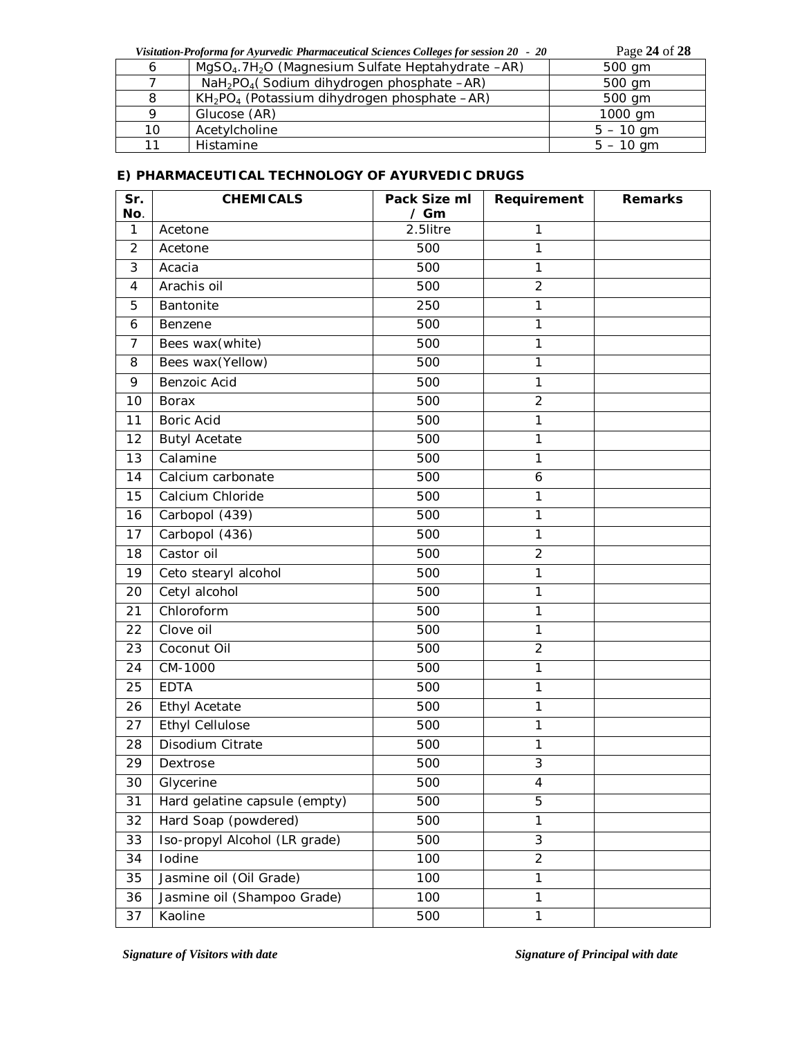|  | Visitation-Proforma for Ayurvedic Pharmaceutical Sciences Colleges for session 20 - 20 | Page 24 of 28 |
|--|----------------------------------------------------------------------------------------|---------------|
|  | MgSO <sub>4</sub> .7H <sub>2</sub> O (Magnesium Sulfate Heptahydrate -AR)              | 500 gm        |
|  | $NaH2PO4(Sodium dihydrogen phosphate -AR)$                                             | 500 gm        |
|  |                                                                                        |               |

|    | $KH_{2}PO_{4}$ (Potassium dihydrogen phosphate $-AR$ ) | 500 gm      |
|----|--------------------------------------------------------|-------------|
|    | Glucose (AR)                                           | 1000 gm     |
| 10 | Acetylcholine                                          | $5 - 10$ am |
|    | Histamine                                              | $5 - 10$ gm |

# **E) PHARMACEUTICAL TECHNOLOGY OF AYURVEDIC DRUGS**

| Sr.<br>No.     | <b>CHEMICALS</b>              | Pack Size ml<br>$/$ Gm | Requirement    | <b>Remarks</b> |
|----------------|-------------------------------|------------------------|----------------|----------------|
| $\mathbf{1}$   | Acetone                       | 2.5litre               | 1              |                |
| $\overline{2}$ | Acetone                       | 500                    | 1              |                |
| 3              | Acacia                        | 500                    | 1              |                |
| 4              | Arachis oil                   | 500                    | $\overline{2}$ |                |
| 5              | Bantonite                     | 250                    | 1              |                |
| 6              | Benzene                       | 500                    | 1              |                |
| 7              | Bees wax(white)               | 500                    | 1              |                |
| 8              | Bees wax(Yellow)              | 500                    | 1              |                |
| 9              | Benzoic Acid                  | 500                    | 1              |                |
| 10             | Borax                         | 500                    | $\overline{2}$ |                |
| 11             | <b>Boric Acid</b>             | 500                    | 1              |                |
| 12             | <b>Butyl Acetate</b>          | 500                    | 1              |                |
| 13             | Calamine                      | 500                    | 1              |                |
| 14             | Calcium carbonate             | 500                    | 6              |                |
| 15             | Calcium Chloride              | 500                    | 1              |                |
| 16             | Carbopol (439)                | 500                    | 1              |                |
| 17             | Carbopol (436)                | 500                    | 1              |                |
| 18             | Castor oil                    | 500                    | $\overline{2}$ |                |
| 19             | Ceto stearyl alcohol          | 500                    | 1              |                |
| 20             | Cetyl alcohol                 | 500                    | 1              |                |
| 21             | Chloroform                    | 500                    | 1              |                |
| 22             | Clove oil                     | 500                    | 1              |                |
| 23             | Coconut Oil                   | 500                    | $\overline{2}$ |                |
| 24             | CM-1000                       | 500                    | 1              |                |
| 25             | <b>EDTA</b>                   | 500                    | 1              |                |
| 26             | <b>Ethyl Acetate</b>          | 500                    | 1              |                |
| 27             | <b>Ethyl Cellulose</b>        | 500                    | 1              |                |
| 28             | Disodium Citrate              | 500                    | 1              |                |
| 29             | Dextrose                      | 500                    | 3              |                |
| 30             | Glycerine                     | 500                    | 4              |                |
| 31             | Hard gelatine capsule (empty) | 500                    | $\overline{5}$ |                |
| 32             | Hard Soap (powdered)          | 500                    | 1              |                |
| 33             | Iso-propyl Alcohol (LR grade) | 500                    | 3              |                |
| 34             | Iodine                        | 100                    | $\overline{2}$ |                |
| 35             | Jasmine oil (Oil Grade)       | 100                    | 1              |                |
| 36             | Jasmine oil (Shampoo Grade)   | 100                    | 1              |                |
| 37             | Kaoline                       | 500                    | 1              |                |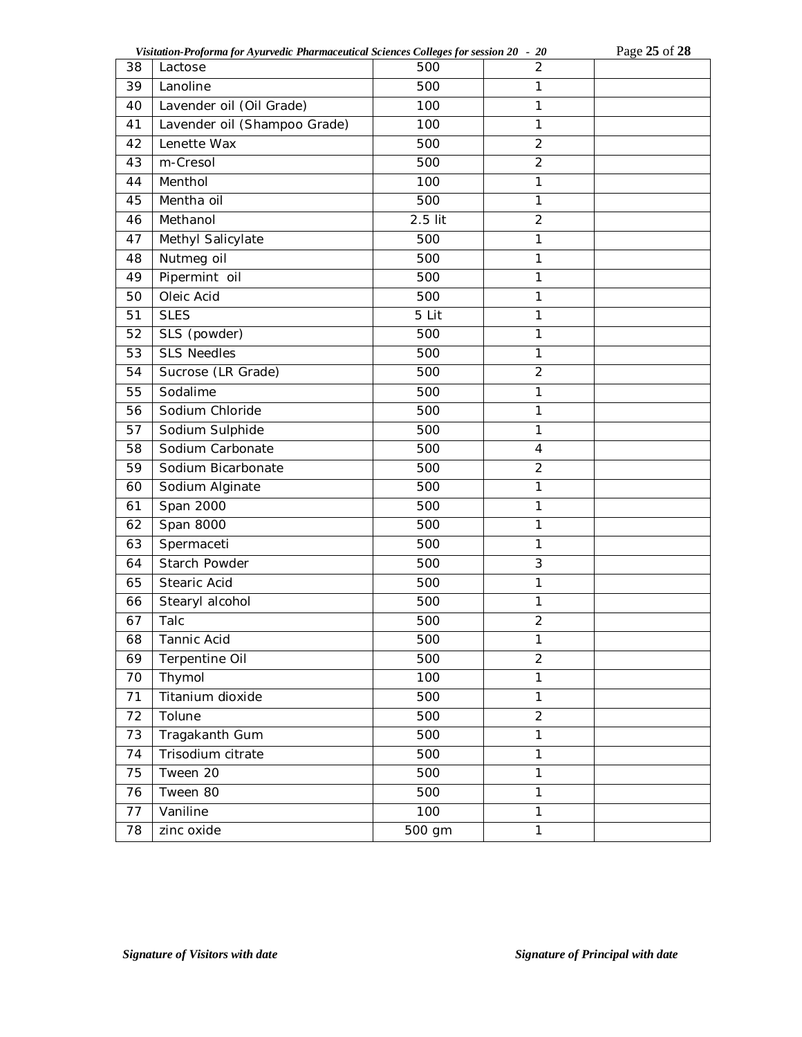| Visitation-Proforma for Ayurvedic Pharmaceutical Sciences Colleges for session 20 - 20 | Page 25 of 28 |
|----------------------------------------------------------------------------------------|---------------|
|----------------------------------------------------------------------------------------|---------------|

| 38 | Lactose                      | 500     | $\overline{2}$          |  |
|----|------------------------------|---------|-------------------------|--|
| 39 | Lanoline                     | 500     | $\mathbf{1}$            |  |
| 40 | Lavender oil (Oil Grade)     | 100     | $\mathbf{1}$            |  |
| 41 | Lavender oil (Shampoo Grade) | 100     | $\mathbf{1}$            |  |
| 42 | Lenette Wax                  | 500     | $\overline{2}$          |  |
| 43 | m-Cresol                     | 500     | $\overline{2}$          |  |
| 44 | Menthol                      | 100     | $\mathbf{1}$            |  |
| 45 | Mentha oil                   | 500     | 1                       |  |
| 46 | Methanol                     | 2.5 lit | $\overline{2}$          |  |
| 47 | Methyl Salicylate            | 500     | $\mathbf{1}$            |  |
| 48 | Nutmeg oil                   | 500     | $\mathbf{1}$            |  |
| 49 | Pipermint oil                | 500     | $\mathbf{1}$            |  |
| 50 | Oleic Acid                   | 500     | 1                       |  |
| 51 | <b>SLES</b>                  | 5 Lit   | $\mathbf{1}$            |  |
| 52 | SLS (powder)                 | 500     | 1                       |  |
| 53 | <b>SLS Needles</b>           | 500     | $\overline{1}$          |  |
| 54 | Sucrose (LR Grade)           | 500     | $\overline{2}$          |  |
| 55 | Sodalime                     | 500     | $\mathbf{1}$            |  |
| 56 | Sodium Chloride              | 500     | $\mathbf{1}$            |  |
| 57 | Sodium Sulphide              | 500     | $\mathbf{1}$            |  |
| 58 | Sodium Carbonate             | 500     | $\overline{\mathbf{4}}$ |  |
| 59 | Sodium Bicarbonate           | 500     | $\overline{2}$          |  |
| 60 | Sodium Alginate              | 500     | $\overline{1}$          |  |
| 61 | Span 2000                    | 500     | $\mathbf{1}$            |  |
| 62 | Span 8000                    | 500     | $\mathbf 1$             |  |
| 63 | Spermaceti                   | 500     | $\overline{1}$          |  |
| 64 | Starch Powder                | 500     | 3                       |  |
| 65 | Stearic Acid                 | 500     | $\mathbf{1}$            |  |
| 66 | Stearyl alcohol              | 500     | $\mathbf{1}$            |  |
| 67 | Talc                         | 500     | $\overline{2}$          |  |
| 68 | Tannic Acid                  | 500     | 1                       |  |
| 69 | Terpentine Oil               | 500     | $\overline{2}$          |  |
| 70 | Thymol                       | 100     | $\overline{1}$          |  |
| 71 | Titanium dioxide             | 500     | $\mathbf{1}$            |  |
| 72 | Tolune                       | 500     | $\overline{2}$          |  |
| 73 | Tragakanth Gum               | 500     | $\mathbf{1}$            |  |
| 74 | Trisodium citrate            | 500     | $\mathbf{1}$            |  |
| 75 | Tween 20                     | 500     | $\mathbf{1}$            |  |
| 76 | Tween 80                     | 500     | $\mathbf{1}$            |  |
| 77 | Vaniline                     | 100     | $\mathbf{1}$            |  |
| 78 | zinc oxide                   | 500 gm  | $\mathbf{1}$            |  |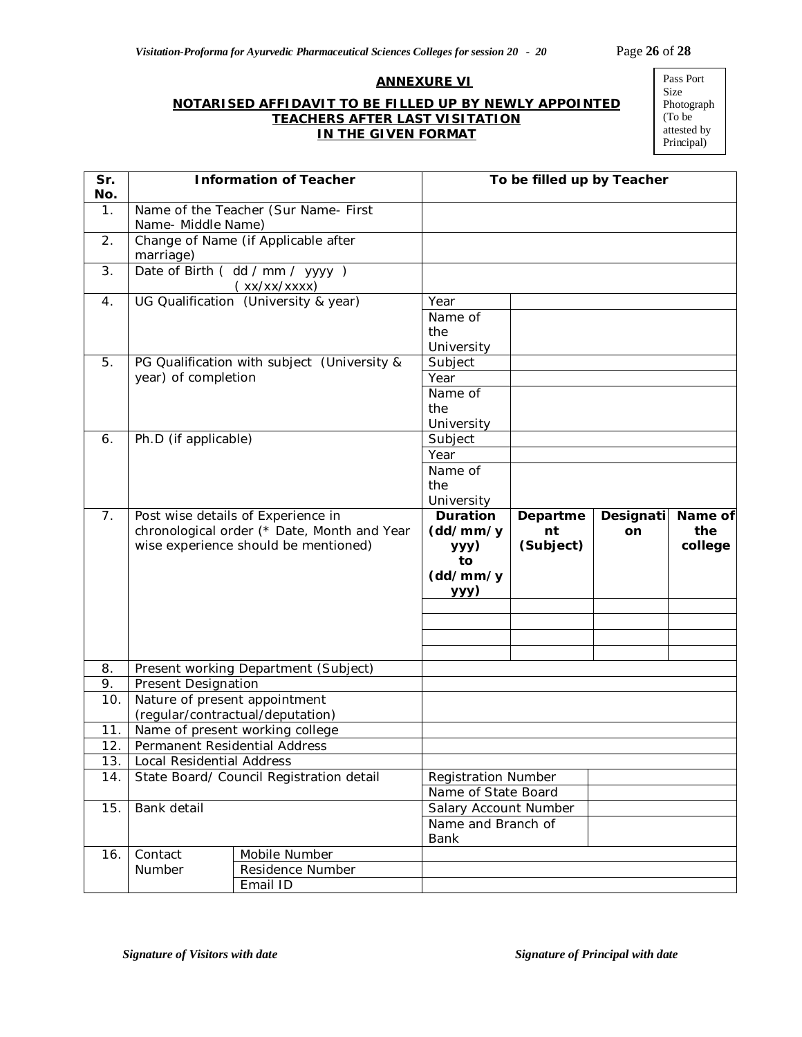#### **ANNEXURE VI**

### **NOTARISED AFFIDAVIT TO BE FILLED UP BY NEWLY APPOINTED TEACHERS AFTER LAST VISITATION IN THE GIVEN FORMAT**

Pass Port Size Photograph (To be attested by Principal)

| Sr.<br>No.    |                                          | <b>Information of Teacher</b>                                                                                             | To be filled up by Teacher                             |                             |                        |                           |
|---------------|------------------------------------------|---------------------------------------------------------------------------------------------------------------------------|--------------------------------------------------------|-----------------------------|------------------------|---------------------------|
| $\mathbf 1$ . | Name- Middle Name)                       | Name of the Teacher (Sur Name- First                                                                                      |                                                        |                             |                        |                           |
| 2.            | marriage)                                | Change of Name (if Applicable after                                                                                       |                                                        |                             |                        |                           |
| 3.            |                                          | Date of Birth ( dd / mm / yyyy )<br>(xx/xx/xxxx)                                                                          |                                                        |                             |                        |                           |
| 4.            |                                          | UG Qualification (University & year)                                                                                      | Year<br>Name of<br>the<br>University                   |                             |                        |                           |
| 5.            | year) of completion                      | PG Qualification with subject (University &                                                                               | Subject<br>Year<br>Name of<br>the<br>University        |                             |                        |                           |
| 6.            | Ph.D (if applicable)                     |                                                                                                                           | Subject                                                |                             |                        |                           |
|               |                                          |                                                                                                                           | Year                                                   |                             |                        |                           |
|               |                                          |                                                                                                                           | Name of<br>the<br>University                           |                             |                        |                           |
| 7.            |                                          | Post wise details of Experience in<br>chronological order (* Date, Month and Year<br>wise experience should be mentioned) | Duration<br>(dd/mm/y<br>ууу)<br>to<br>(dd/mm/y<br>yyy) | Departme<br>nt<br>(Subject) | Designati<br><b>on</b> | Name of<br>the<br>college |
|               |                                          |                                                                                                                           |                                                        |                             |                        |                           |
| 8.            |                                          | Present working Department (Subject)                                                                                      |                                                        |                             |                        |                           |
| 9.            | <b>Present Designation</b>               |                                                                                                                           |                                                        |                             |                        |                           |
| 10.           | Nature of present appointment            | (regular/contractual/deputation)                                                                                          |                                                        |                             |                        |                           |
| 11.           |                                          | Name of present working college                                                                                           |                                                        |                             |                        |                           |
| 12.           | Permanent Residential Address            |                                                                                                                           |                                                        |                             |                        |                           |
| 13.<br>14.    | Local Residential Address                |                                                                                                                           | <b>Registration Number</b>                             |                             |                        |                           |
|               | State Board/ Council Registration detail |                                                                                                                           | Name of State Board                                    |                             |                        |                           |
| 15.           | Bank detail                              |                                                                                                                           | Salary Account Number<br>Name and Branch of<br>Bank    |                             |                        |                           |
| 16.           | Contact                                  | Mobile Number                                                                                                             |                                                        |                             |                        |                           |
|               | Number                                   | Residence Number                                                                                                          |                                                        |                             |                        |                           |
|               |                                          | Email ID                                                                                                                  |                                                        |                             |                        |                           |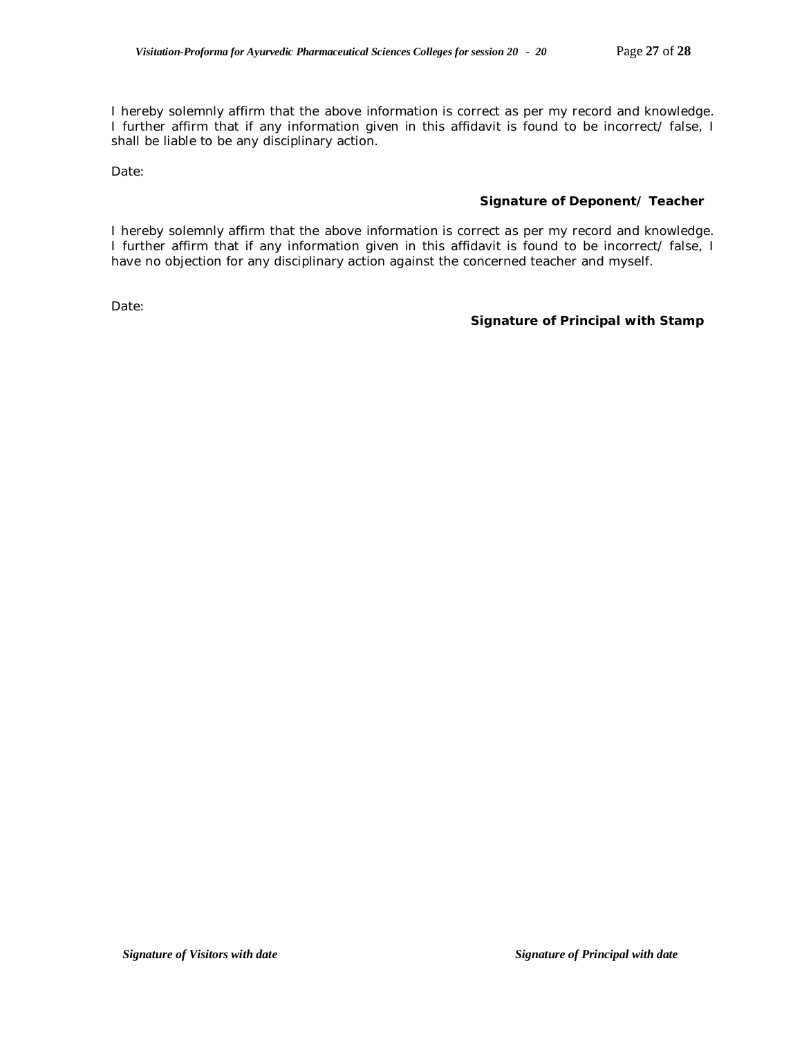I hereby solemnly affirm that the above information is correct as per my record and knowledge. I further affirm that if any information given in this affidavit is found to be incorrect/ false, I shall be liable to be any disciplinary action.

Date:

### **Signature of Deponent/ Teacher**

I hereby solemnly affirm that the above information is correct as per my record and knowledge. I further affirm that if any information given in this affidavit is found to be incorrect/ false, I have no objection for any disciplinary action against the concerned teacher and myself.

Date:

### **Signature of Principal with Stamp**